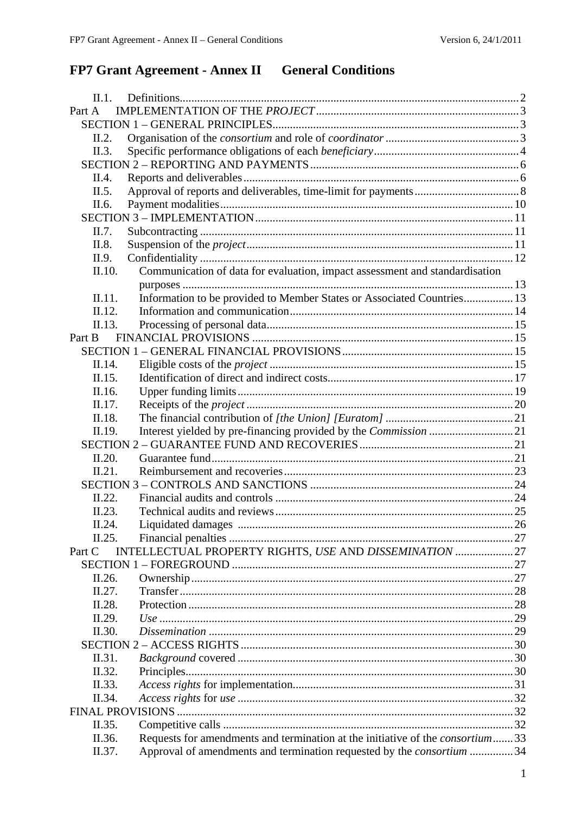# FP7 Grant Agreement - Annex II General Conditions

| II.1.     |                                                                                       |      |  |  |
|-----------|---------------------------------------------------------------------------------------|------|--|--|
| Part A    |                                                                                       |      |  |  |
|           |                                                                                       |      |  |  |
| II.2.     |                                                                                       |      |  |  |
| II.3.     |                                                                                       |      |  |  |
|           |                                                                                       |      |  |  |
| II.4.     |                                                                                       |      |  |  |
| II.5.     |                                                                                       |      |  |  |
| II.6.     |                                                                                       |      |  |  |
|           |                                                                                       |      |  |  |
| II.7.     |                                                                                       |      |  |  |
| II.8.     |                                                                                       |      |  |  |
| II.9.     |                                                                                       |      |  |  |
| II.10.    | Communication of data for evaluation, impact assessment and standardisation           |      |  |  |
|           |                                                                                       |      |  |  |
| II.11.    | Information to be provided to Member States or Associated Countries 13                |      |  |  |
| II.12.    |                                                                                       |      |  |  |
| II.13.    |                                                                                       |      |  |  |
| Part B    |                                                                                       |      |  |  |
|           |                                                                                       |      |  |  |
| II.14.    |                                                                                       |      |  |  |
| II.15.    |                                                                                       |      |  |  |
| II.16.    |                                                                                       |      |  |  |
| II.17.    |                                                                                       |      |  |  |
| II.18.    |                                                                                       |      |  |  |
| II.19.    |                                                                                       |      |  |  |
|           |                                                                                       |      |  |  |
| II.20.    |                                                                                       |      |  |  |
| II.21.    |                                                                                       |      |  |  |
|           |                                                                                       |      |  |  |
| II.22.    |                                                                                       |      |  |  |
| II.23.    |                                                                                       |      |  |  |
| $\Pi$ 24. |                                                                                       | . 26 |  |  |
| II.25.    |                                                                                       |      |  |  |
| Part C    | INTELLECTUAL PROPERTY RIGHTS, USE AND DISSEMINATION  27                               |      |  |  |
|           |                                                                                       |      |  |  |
| II.26.    |                                                                                       |      |  |  |
| II.27.    |                                                                                       |      |  |  |
| II.28.    |                                                                                       |      |  |  |
| II.29.    |                                                                                       |      |  |  |
| II.30.    |                                                                                       |      |  |  |
|           |                                                                                       |      |  |  |
| II.31.    |                                                                                       |      |  |  |
| II.32.    |                                                                                       |      |  |  |
| II.33.    |                                                                                       |      |  |  |
| II.34.    |                                                                                       |      |  |  |
|           |                                                                                       |      |  |  |
| II.35.    |                                                                                       |      |  |  |
| II.36.    | Requests for amendments and termination at the initiative of the <i>consortium</i> 33 |      |  |  |
| II.37.    |                                                                                       |      |  |  |
|           | Approval of amendments and termination requested by the <i>consortium</i> 34          |      |  |  |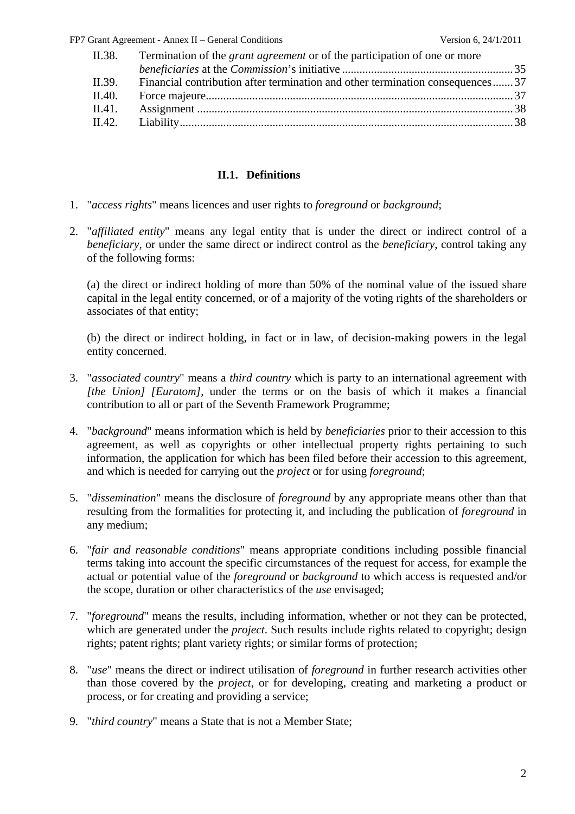| II.38. | Termination of the <i>grant agreement</i> or of the participation of one or more |  |
|--------|----------------------------------------------------------------------------------|--|
|        |                                                                                  |  |
| II.39. | Financial contribution after termination and other termination consequences37    |  |
| II.40. |                                                                                  |  |
| II.41. |                                                                                  |  |
|        |                                                                                  |  |
|        |                                                                                  |  |

#### **II.1. Definitions**

- <span id="page-1-0"></span>1. "*access rights*" means licences and user rights to *foreground* or *background*;
- 2. "*affiliated entity*" means any legal entity that is under the direct or indirect control of a *beneficiary*, or under the same direct or indirect control as the *beneficiary*, control taking any of the following forms:

(a) the direct or indirect holding of more than 50% of the nominal value of the issued share capital in the legal entity concerned, or of a majority of the voting rights of the shareholders or associates of that entity;

(b) the direct or indirect holding, in fact or in law, of decision-making powers in the legal entity concerned.

- 3. "*associated country*" means a *third country* which is party to an international agreement with *[the Union] [Euratom],* under the terms or on the basis of which it makes a financial contribution to all or part of the Seventh Framework Programme;
- 4. "*background*" means information which is held by *beneficiaries* prior to their accession to this agreement, as well as copyrights or other intellectual property rights pertaining to such information, the application for which has been filed before their accession to this agreement, and which is needed for carrying out the *project* or for using *foreground*;
- 5. "*dissemination*" means the disclosure of *foreground* by any appropriate means other than that resulting from the formalities for protecting it, and including the publication of *foreground* in any medium;
- 6. "*fair and reasonable conditions*" means appropriate conditions including possible financial terms taking into account the specific circumstances of the request for access, for example the actual or potential value of the *foreground* or *background* to which access is requested and/or the scope, duration or other characteristics of the *use* envisaged;
- 7. "*foreground*" means the results, including information, whether or not they can be protected, which are generated under the *project*. Such results include rights related to copyright; design rights; patent rights; plant variety rights; or similar forms of protection;
- 8. "*use*" means the direct or indirect utilisation of *foreground* in further research activities other than those covered by the *project*, or for developing, creating and marketing a product or process, or for creating and providing a service;
- 9. "*third country*" means a State that is not a Member State;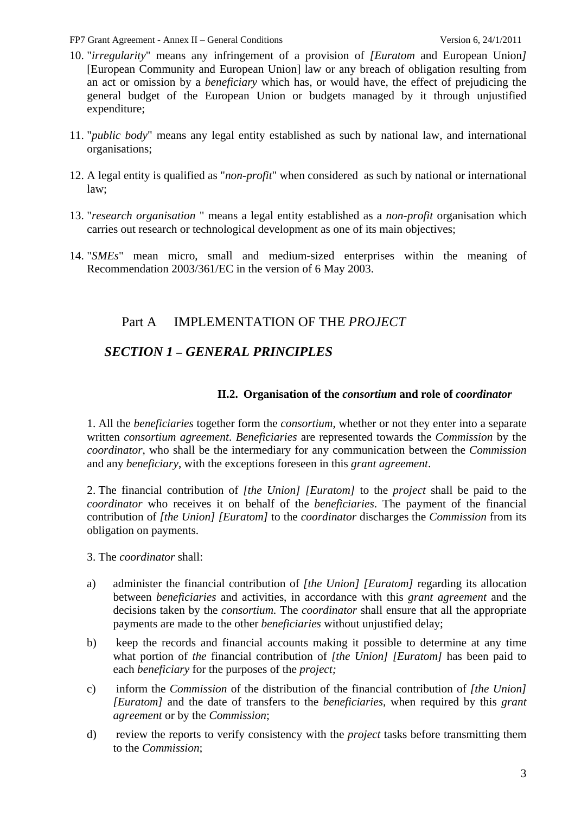- 10. "*irregularity*" means any infringement of a provision of *[Euratom* and European Union*]*  [European Community and European Union] law or any breach of obligation resulting from an act or omission by a *beneficiary* which has, or would have, the effect of prejudicing the general budget of the European Union or budgets managed by it through unjustified expenditure;
- 11. "*public body*" means any legal entity established as such by national law, and international organisations;
- 12. A legal entity is qualified as "*non-profit*" when considered as such by national or international law;
- 13. "*research organisation* " means a legal entity established as a *non-profit* organisation which carries out research or technological development as one of its main objectives;
- <span id="page-2-0"></span>14. "*SMEs*" mean micro, small and medium-sized enterprises within the meaning of Recommendation 2003/361/EC in the version of 6 May 2003.

# Part A IMPLEMENTATION OF THE *PROJECT*

# <span id="page-2-1"></span>*SECTION 1 – GENERAL PRINCIPLES*

### **II.2. Organisation of the** *consortium* **and role of** *coordinator*

<span id="page-2-2"></span>1. All the *beneficiaries* together form the *consortium*, whether or not they enter into a separate written *consortium agreement*. *Beneficiaries* are represented towards the *Commission* by the *coordinator*, who shall be the intermediary for any communication between the *Commission* and any *beneficiary*, with the exceptions foreseen in this *grant agreement*.

2. The financial contribution of *[the Union] [Euratom]* to the *project* shall be paid to the *coordinator* who receives it on behalf of the *beneficiaries*. The payment of the financial contribution of *[the Union] [Euratom]* to the *coordinator* discharges the *Commission* from its obligation on payments.

3. The *coordinator* shall:

- a) administer the financial contribution of *[the Union] [Euratom]* regarding its allocation between *beneficiaries* and activities, in accordance with this *grant agreement* and the decisions taken by the *consortium.* The *coordinator* shall ensure that all the appropriate payments are made to the other *beneficiaries* without unjustified delay;
- b) keep the records and financial accounts making it possible to determine at any time what portion of *the* financial contribution of *[the Union] [Euratom]* has been paid to each *beneficiary* for the purposes of the *project;*
- c) inform the *Commission* of the distribution of the financial contribution of *[the Union] [Euratom]* and the date of transfers to the *beneficiaries,* when required by this *grant agreement* or by the *Commission*;
- d) review the reports to verify consistency with the *project* tasks before transmitting them to the *Commission*;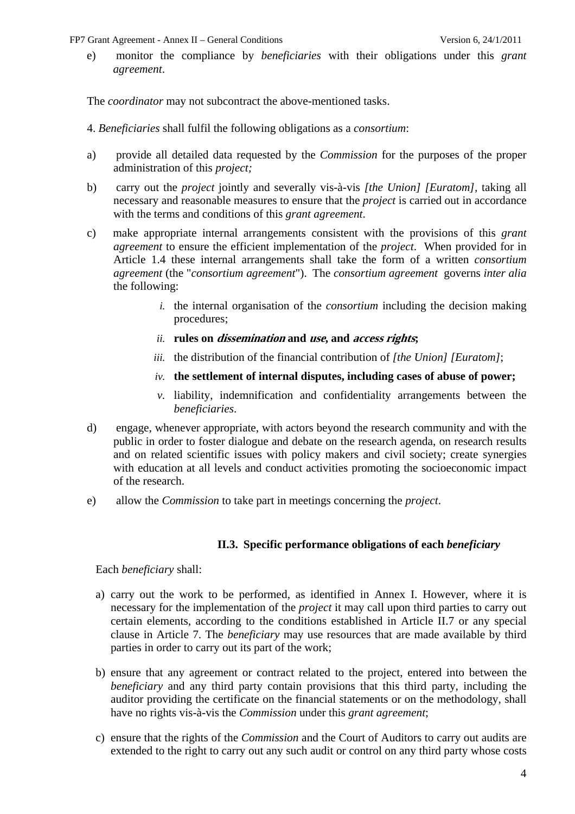e) monitor the compliance by *beneficiaries* with their obligations under this *grant agreement*.

The *coordinator* may not subcontract the above-mentioned tasks.

- 4. *Beneficiaries* shall fulfil the following obligations as a *consortium*:
- a) provide all detailed data requested by the *Commission* for the purposes of the proper administration of this *project;*
- b) carry out the *project* jointly and severally vis-à-vis *[the Union] [Euratom],* taking all necessary and reasonable measures to ensure that the *project* is carried out in accordance with the terms and conditions of this *grant agreement*.
- c) make appropriate internal arrangements consistent with the provisions of this *grant agreement* to ensure the efficient implementation of the *project*. When provided for in Article 1.4 these internal arrangements shall take the form of a written *consortium agreement* (the "*consortium agreement*"). The *consortium agreement* governs *inter alia* the following:
	- *i.* the internal organisation of the *consortium* including the decision making procedures;
	- *ii.* **rules on dissemination and use, and access rights;**
	- *iii.* the distribution of the financial contribution of *[the Union] [Euratom]*;
	- *iv.* **the settlement of internal disputes, including cases of abuse of power;**
	- *v.* liability, indemnification and confidentiality arrangements between the *beneficiaries*.
- d) engage, whenever appropriate, with actors beyond the research community and with the public in order to foster dialogue and debate on the research agenda, on research results and on related scientific issues with policy makers and civil society; create synergies with education at all levels and conduct activities promoting the socioeconomic impact of the research.
- <span id="page-3-0"></span>e) allow the *Commission* to take part in meetings concerning the *project*.

#### **II.3. Specific performance obligations of each** *beneficiary*

Each *beneficiary* shall:

- a) carry out the work to be performed, as identified in Annex I. However, where it is necessary for the implementation of the *project* it may call upon third parties to carry out certain elements, according to the conditions established in Article II.7 or any special clause in Article 7. The *beneficiary* may use resources that are made available by third parties in order to carry out its part of the work;
- b) ensure that any agreement or contract related to the project, entered into between the *beneficiary* and any third party contain provisions that this third party, including the auditor providing the certificate on the financial statements or on the methodology, shall have no rights vis-à-vis the *Commission* under this *grant agreement*;
- c) ensure that the rights of the *Commission* and the Court of Auditors to carry out audits are extended to the right to carry out any such audit or control on any third party whose costs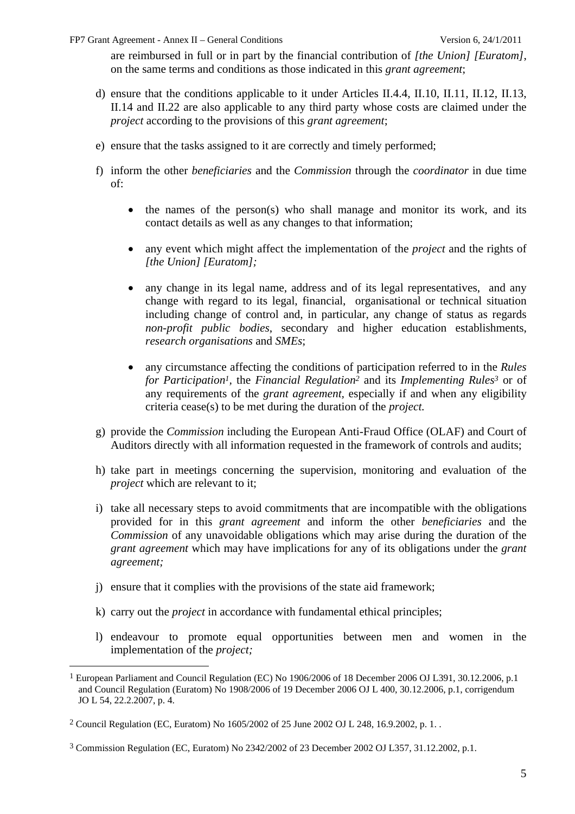are reimbursed in full or in part by the financial contribution of *[the Union] [Euratom]*, on the same terms and conditions as those indicated in this *grant agreement*;

- d) ensure that the conditions applicable to it under Articles II.4.4, II.10, II.11, II.12, II.13, II.14 and II.22 are also applicable to any third party whose costs are claimed under the *project* according to the provisions of this *grant agreement*;
- e) ensure that the tasks assigned to it are correctly and timely performed;
- f) inform the other *beneficiaries* and the *Commission* through the *coordinator* in due time of:
	- the names of the person(s) who shall manage and monitor its work, and its contact details as well as any changes to that information;
	- any event which might affect the implementation of the *project* and the rights of *[the Union] [Euratom];*
	- any change in its legal name, address and of its legal representatives, and any change with regard to its legal, financial, organisational or technical situation including change of control and, in particular, any change of status as regards *non-profit public bodies*, secondary and higher education establishments, *research organisations* and *SMEs*;
	- any circumstance affecting the conditions of participation referred to in the *Rules for Participation1,* the *Financial Regulation2* and its *Implementing Rules3* or of any requirements of the *grant agreement,* especially if and when any eligibility criteria cease(s) to be met during the duration of the *project.*
- g) provide the *Commission* including the European Anti-Fraud Office (OLAF) and Court of Auditors directly with all information requested in the framework of controls and audits;
- h) take part in meetings concerning the supervision, monitoring and evaluation of the *project* which are relevant to it:
- i) take all necessary steps to avoid commitments that are incompatible with the obligations provided for in this *grant agreement* and inform the other *beneficiaries* and the *Commission* of any unavoidable obligations which may arise during the duration of the *grant agreement* which may have implications for any of its obligations under the *grant agreement;*
- j) ensure that it complies with the provisions of the state aid framework;
- k) carry out the *project* in accordance with fundamental ethical principles;
- l) endeavour to promote equal opportunities between men and women in the implementation of the *project;*

<sup>1</sup> European Parliament and Council Regulation (EC) No 1906/2006 of 18 December 2006 OJ L391, 30.12.2006, p.1 and Council Regulation (Euratom) No 1908/2006 of 19 December 2006 OJ L 400, 30.12.2006, p.1, corrigendum JO L 54, 22.2.2007, p. 4.

<sup>2</sup> Council Regulation (EC, Euratom) No 1605/2002 of 25 June 2002 OJ L 248, 16.9.2002, p. 1. .

<sup>3</sup> Commission Regulation (EC, Euratom) No 2342/2002 of 23 December 2002 OJ L357, 31.12.2002, p.1.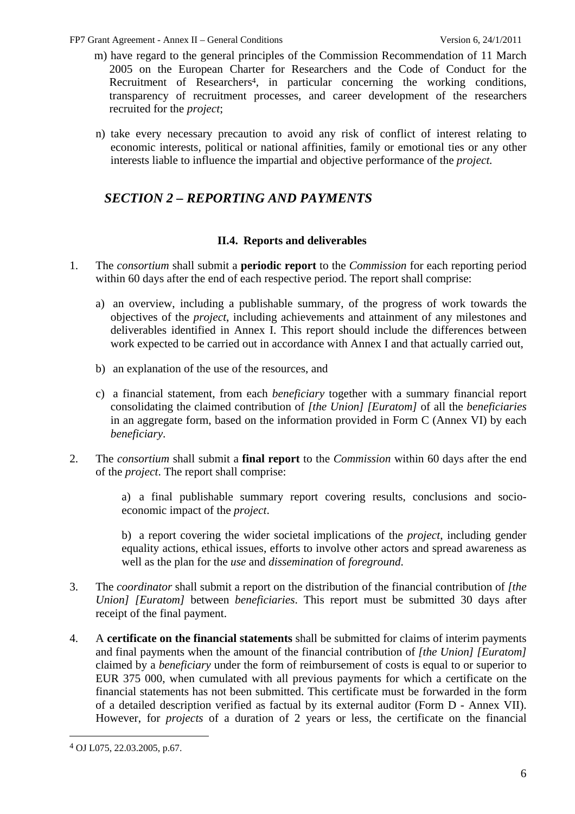- m) have regard to the general principles of the Commission Recommendation of 11 March 2005 on the European Charter for Researchers and the Code of Conduct for the Recruitment of Researchers<sup>4</sup>, in particular concerning the working conditions, transparency of recruitment processes, and career development of the researchers recruited for the *project*;
- n) take every necessary precaution to avoid any risk of conflict of interest relating to economic interests, political or national affinities, family or emotional ties or any other interests liable to influence the impartial and objective performance of the *project.*

# <span id="page-5-0"></span>*SECTION 2 – REPORTING AND PAYMENTS*

### **II.4. Reports and deliverables**

- <span id="page-5-1"></span>1. The *consortium* shall submit a **periodic report** to the *Commission* for each reporting period within 60 days after the end of each respective period. The report shall comprise:
	- a) an overview, including a publishable summary, of the progress of work towards the objectives of the *project*, including achievements and attainment of any milestones and deliverables identified in Annex I. This report should include the differences between work expected to be carried out in accordance with Annex I and that actually carried out,
	- b) an explanation of the use of the resources, and
	- c) a financial statement, from each *beneficiary* together with a summary financial report consolidating the claimed contribution of *[the Union] [Euratom]* of all the *beneficiaries* in an aggregate form, based on the information provided in Form C (Annex VI) by each *beneficiary*.
- 2. The *consortium* shall submit a **final report** to the *Commission* within 60 days after the end of the *project*. The report shall comprise:

a) a final publishable summary report covering results, conclusions and socioeconomic impact of the *project*.

b) a report covering the wider societal implications of the *project*, including gender equality actions, ethical issues, efforts to involve other actors and spread awareness as well as the plan for the *use* and *dissemination* of *foreground*.

- 3. The *coordinator* shall submit a report on the distribution of the financial contribution of *[the Union] [Euratom]* between *beneficiaries*. This report must be submitted 30 days after receipt of the final payment.
- 4. A **certificate on the financial statements** shall be submitted for claims of interim payments and final payments when the amount of the financial contribution of *[the Union] [Euratom]* claimed by a *beneficiary* under the form of reimbursement of costs is equal to or superior to EUR 375 000, when cumulated with all previous payments for which a certificate on the financial statements has not been submitted. This certificate must be forwarded in the form of a detailed description verified as factual by its external auditor (Form D - Annex VII). However, for *projects* of a duration of 2 years or less, the certificate on the financial

<sup>4</sup> OJ L075, 22.03.2005, p.67.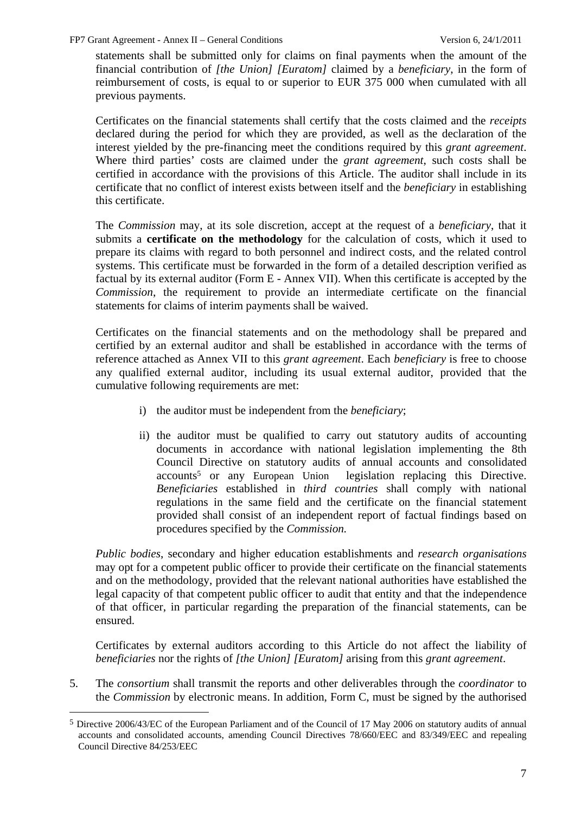statements shall be submitted only for claims on final payments when the amount of the financial contribution of *[the Union] [Euratom]* claimed by a *beneficiary*, in the form of reimbursement of costs, is equal to or superior to EUR 375 000 when cumulated with all previous payments.

Certificates on the financial statements shall certify that the costs claimed and the *receipts* declared during the period for which they are provided, as well as the declaration of the interest yielded by the pre-financing meet the conditions required by this *grant agreement*. Where third parties' costs are claimed under the *grant agreement*, such costs shall be certified in accordance with the provisions of this Article. The auditor shall include in its certificate that no conflict of interest exists between itself and the *beneficiary* in establishing this certificate.

The *Commission* may, at its sole discretion, accept at the request of a *beneficiary*, that it submits a **certificate on the methodology** for the calculation of costs, which it used to prepare its claims with regard to both personnel and indirect costs, and the related control systems. This certificate must be forwarded in the form of a detailed description verified as factual by its external auditor (Form E - Annex VII). When this certificate is accepted by the *Commission*, the requirement to provide an intermediate certificate on the financial statements for claims of interim payments shall be waived.

Certificates on the financial statements and on the methodology shall be prepared and certified by an external auditor and shall be established in accordance with the terms of reference attached as Annex VII to this *grant agreement*. Each *beneficiary* is free to choose any qualified external auditor, including its usual external auditor, provided that the cumulative following requirements are met:

- i) the auditor must be independent from the *beneficiary*;
- ii) the auditor must be qualified to carry out statutory audits of accounting documents in accordance with national legislation implementing the 8th Council Directive on statutory audits of annual accounts and consolidated accounts5 or any European Union legislation replacing this Directive. *Beneficiaries* established in *third countries* shall comply with national regulations in the same field and the certificate on the financial statement provided shall consist of an independent report of factual findings based on procedures specified by the *Commission.*

*Public bodies*, secondary and higher education establishments and *research organisations* may opt for a competent public officer to provide their certificate on the financial statements and on the methodology, provided that the relevant national authorities have established the legal capacity of that competent public officer to audit that entity and that the independence of that officer, in particular regarding the preparation of the financial statements, can be ensured.

Certificates by external auditors according to this Article do not affect the liability of *beneficiaries* nor the rights of *[the Union] [Euratom]* arising from this *grant agreement*.

5. The *consortium* shall transmit the reports and other deliverables through the *coordinator* to the *Commission* by electronic means. In addition, Form C, must be signed by the authorised

<sup>5</sup> Directive 2006/43/EC of the European Parliament and of the Council of 17 May 2006 on statutory audits of annual accounts and consolidated accounts, amending Council Directives 78/660/EEC and 83/349/EEC and repealing Council Directive 84/253/EEC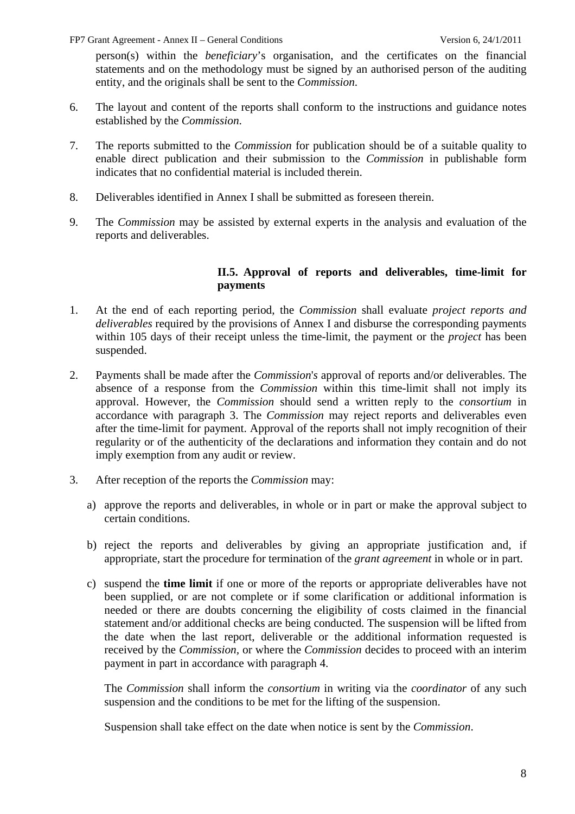person(s) within the *beneficiary*'s organisation, and the certificates on the financial statements and on the methodology must be signed by an authorised person of the auditing entity, and the originals shall be sent to the *Commission*.

- 6. The layout and content of the reports shall conform to the instructions and guidance notes established by the *Commission*.
- 7. The reports submitted to the *Commission* for publication should be of a suitable quality to enable direct publication and their submission to the *Commission* in publishable form indicates that no confidential material is included therein.
- 8. Deliverables identified in Annex I shall be submitted as foreseen therein.
- <span id="page-7-0"></span>9. The *Commission* may be assisted by external experts in the analysis and evaluation of the reports and deliverables.

#### **II.5. Approval of reports and deliverables, time-limit for payments**

- 1. At the end of each reporting period, the *Commission* shall evaluate *project reports and deliverables* required by the provisions of Annex I and disburse the corresponding payments within 105 days of their receipt unless the time-limit, the payment or the *project* has been suspended.
- 2. Payments shall be made after the *Commission*'*s* approval of reports and/or deliverables. The absence of a response from the *Commission* within this time-limit shall not imply its approval. However, the *Commission* should send a written reply to the *consortium* in accordance with paragraph 3. The *Commission* may reject reports and deliverables even after the time-limit for payment. Approval of the reports shall not imply recognition of their regularity or of the authenticity of the declarations and information they contain and do not imply exemption from any audit or review.
- 3. After reception of the reports the *Commission* may:
	- a) approve the reports and deliverables, in whole or in part or make the approval subject to certain conditions.
	- b) reject the reports and deliverables by giving an appropriate justification and, if appropriate, start the procedure for termination of the *grant agreement* in whole or in part.
	- c) suspend the **time limit** if one or more of the reports or appropriate deliverables have not been supplied, or are not complete or if some clarification or additional information is needed or there are doubts concerning the eligibility of costs claimed in the financial statement and/or additional checks are being conducted. The suspension will be lifted from the date when the last report, deliverable or the additional information requested is received by the *Commission,* or where the *Commission* decides to proceed with an interim payment in part in accordance with paragraph 4.

The *Commission* shall inform the *consortium* in writing via the *coordinator* of any such suspension and the conditions to be met for the lifting of the suspension.

Suspension shall take effect on the date when notice is sent by the *Commission*.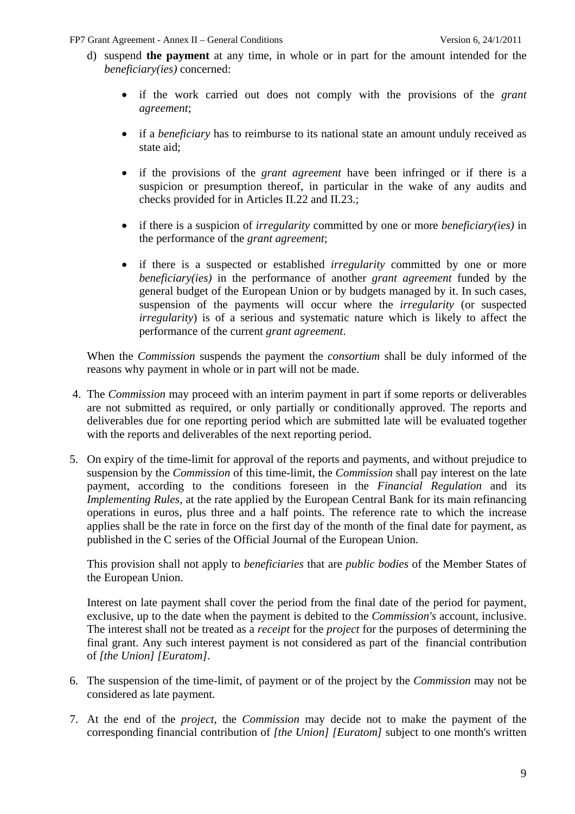- d) suspend **the payment** at any time, in whole or in part for the amount intended for the *beneficiary(ies)* concerned:
	- if the work carried out does not comply with the provisions of the *grant agreement*;
	- if a *beneficiary* has to reimburse to its national state an amount unduly received as state aid;
	- if the provisions of the *grant agreement* have been infringed or if there is a suspicion or presumption thereof, in particular in the wake of any audits and checks provided for in Articles II.22 and II.23.;
	- if there is a suspicion of *irregularity* committed by one or more *beneficiary(ies)* in the performance of the *grant agreement*;
	- if there is a suspected or established *irregularity* committed by one or more *beneficiary(ies)* in the performance of another *grant agreement* funded by the general budget of the European Union or by budgets managed by it. In such cases, suspension of the payments will occur where the *irregularity* (or suspected *irregularity*) is of a serious and systematic nature which is likely to affect the performance of the current *grant agreement*.

When the *Commission* suspends the payment the *consortium* shall be duly informed of the reasons why payment in whole or in part will not be made.

- 4. The *Commission* may proceed with an interim payment in part if some reports or deliverables are not submitted as required, or only partially or conditionally approved. The reports and deliverables due for one reporting period which are submitted late will be evaluated together with the reports and deliverables of the next reporting period.
- 5. On expiry of the time-limit for approval of the reports and payments, and without prejudice to suspension by the *Commission* of this time-limit, the *Commission* shall pay interest on the late payment, according to the conditions foreseen in the *Financial Regulation* and its *Implementing Rules,* at the rate applied by the European Central Bank for its main refinancing operations in euros, plus three and a half points. The reference rate to which the increase applies shall be the rate in force on the first day of the month of the final date for payment, as published in the C series of the Official Journal of the European Union.

This provision shall not apply to *beneficiaries* that are *public bodies* of the Member States of the European Union.

Interest on late payment shall cover the period from the final date of the period for payment, exclusive, up to the date when the payment is debited to the *Commission's* account, inclusive. The interest shall not be treated as a *receipt* for the *project* for the purposes of determining the final grant. Any such interest payment is not considered as part of the financial contribution of *[the Union] [Euratom]*.

- 6. The suspension of the time-limit, of payment or of the project by the *Commission* may not be considered as late payment.
- 7. At the end of the *project*, the *Commission* may decide not to make the payment of the corresponding financial contribution of *[the Union] [Euratom]* subject to one month's written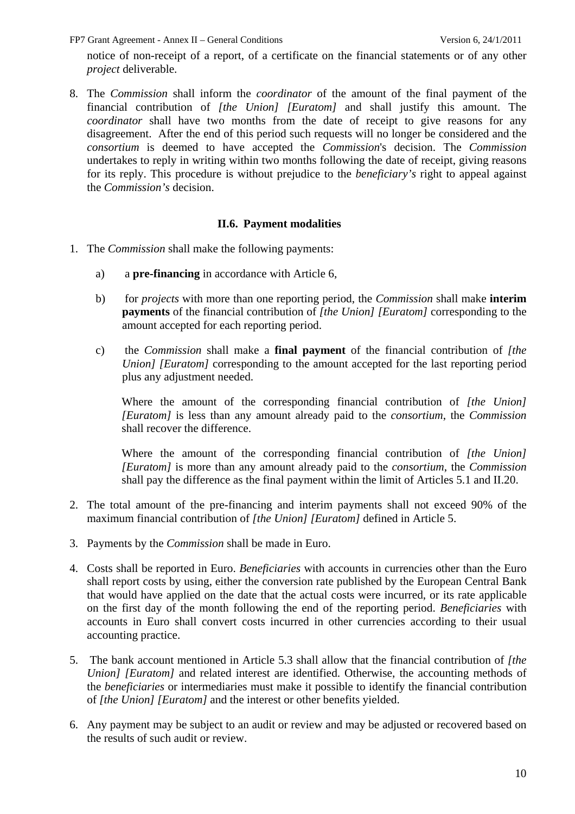notice of non-receipt of a report, of a certificate on the financial statements or of any other *project* deliverable.

8. The *Commission* shall inform the *coordinator* of the amount of the final payment of the financial contribution of *[the Union] [Euratom]* and shall justify this amount. The *coordinator* shall have two months from the date of receipt to give reasons for any disagreement. After the end of this period such requests will no longer be considered and the *consortium* is deemed to have accepted the *Commission*'s decision. The *Commission* undertakes to reply in writing within two months following the date of receipt, giving reasons for its reply. This procedure is without prejudice to the *beneficiary's* right to appeal against the *Commission's* decision.

#### **II.6. Payment modalities**

- <span id="page-9-0"></span>1. The *Commission* shall make the following payments:
	- a) a **pre-financing** in accordance with Article 6,
	- b) for *projects* with more than one reporting period, the *Commission* shall make **interim payments** of the financial contribution of *[the Union] [Euratom]* corresponding to the amount accepted for each reporting period.
	- c) the *Commission* shall make a **final payment** of the financial contribution of *[the Union] [Euratom]* corresponding to the amount accepted for the last reporting period plus any adjustment needed.

Where the amount of the corresponding financial contribution of *[the Union] [Euratom]* is less than any amount already paid to the *consortium*, the *Commission* shall recover the difference.

Where the amount of the corresponding financial contribution of *[the Union] [Euratom]* is more than any amount already paid to the *consortium*, the *Commission* shall pay the difference as the final payment within the limit of Articles 5.1 and II.20.

- 2. The total amount of the pre-financing and interim payments shall not exceed 90% of the maximum financial contribution of *[the Union] [Euratom]* defined in Article 5.
- 3. Payments by the *Commission* shall be made in Euro.
- 4. Costs shall be reported in Euro. *Beneficiaries* with accounts in currencies other than the Euro shall report costs by using, either the conversion rate published by the European Central Bank that would have applied on the date that the actual costs were incurred, or its rate applicable on the first day of the month following the end of the reporting period. *Beneficiaries* with accounts in Euro shall convert costs incurred in other currencies according to their usual accounting practice.
- 5. The bank account mentioned in Article 5.3 shall allow that the financial contribution of *[the Union] [Euratom]* and related interest are identified. Otherwise, the accounting methods of the *beneficiaries* or intermediaries must make it possible to identify the financial contribution of *[the Union] [Euratom]* and the interest or other benefits yielded.
- 6. Any payment may be subject to an audit or review and may be adjusted or recovered based on the results of such audit or review.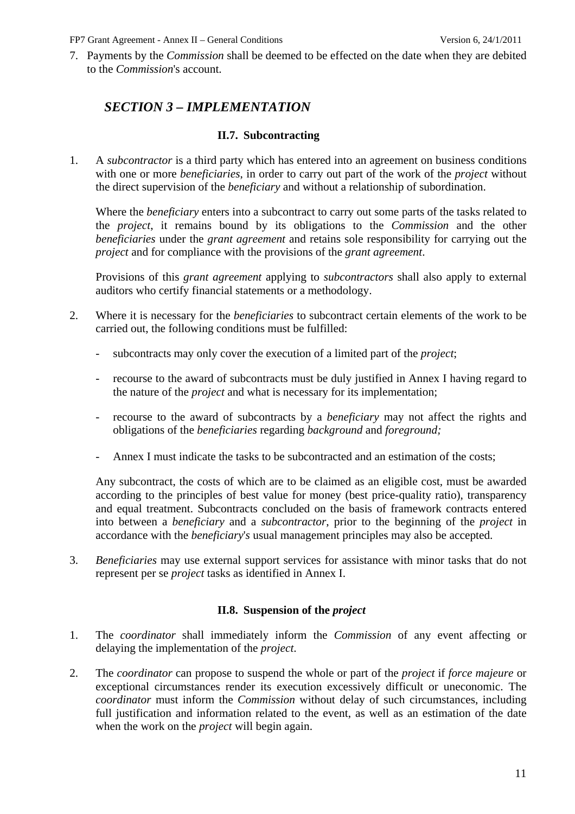<span id="page-10-0"></span>7. Payments by the *Commission* shall be deemed to be effected on the date when they are debited to the *Commission*'s account.

# *SECTION 3 – IMPLEMENTATION*

#### **II.7. Subcontracting**

<span id="page-10-1"></span>1. A *subcontractor* is a third party which has entered into an agreement on business conditions with one or more *beneficiaries*, in order to carry out part of the work of the *project* without the direct supervision of the *beneficiary* and without a relationship of subordination.

Where the *beneficiary* enters into a subcontract to carry out some parts of the tasks related to the *project*, it remains bound by its obligations to the *Commission* and the other *beneficiaries* under the *grant agreement* and retains sole responsibility for carrying out the *project* and for compliance with the provisions of the *grant agreement*.

Provisions of this *grant agreement* applying to *subcontractors* shall also apply to external auditors who certify financial statements or a methodology.

- 2. Where it is necessary for the *beneficiaries* to subcontract certain elements of the work to be carried out, the following conditions must be fulfilled:
	- subcontracts may only cover the execution of a limited part of the *project*;
	- recourse to the award of subcontracts must be duly justified in Annex I having regard to the nature of the *project* and what is necessary for its implementation;
	- recourse to the award of subcontracts by a *beneficiary* may not affect the rights and obligations of the *beneficiaries* regarding *background* and *foreground;*
	- Annex I must indicate the tasks to be subcontracted and an estimation of the costs;

Any subcontract, the costs of which are to be claimed as an eligible cost*,* must be awarded according to the principles of best value for money (best price-quality ratio), transparency and equal treatment. Subcontracts concluded on the basis of framework contracts entered into between a *beneficiary* and a *subcontractor*, prior to the beginning of the *project* in accordance with the *beneficiary*'*s* usual management principles may also be accepted.

<span id="page-10-2"></span>3. *Beneficiaries* may use external support services for assistance with minor tasks that do not represent per se *project* tasks as identified in Annex I.

### **II.8. Suspension of the** *project*

- 1. The *coordinator* shall immediately inform the *Commission* of any event affecting or delaying the implementation of the *project*.
- 2. The *coordinator* can propose to suspend the whole or part of the *project* if *force majeure* or exceptional circumstances render its execution excessively difficult or uneconomic. The *coordinator* must inform the *Commission* without delay of such circumstances, including full justification and information related to the event, as well as an estimation of the date when the work on the *project* will begin again.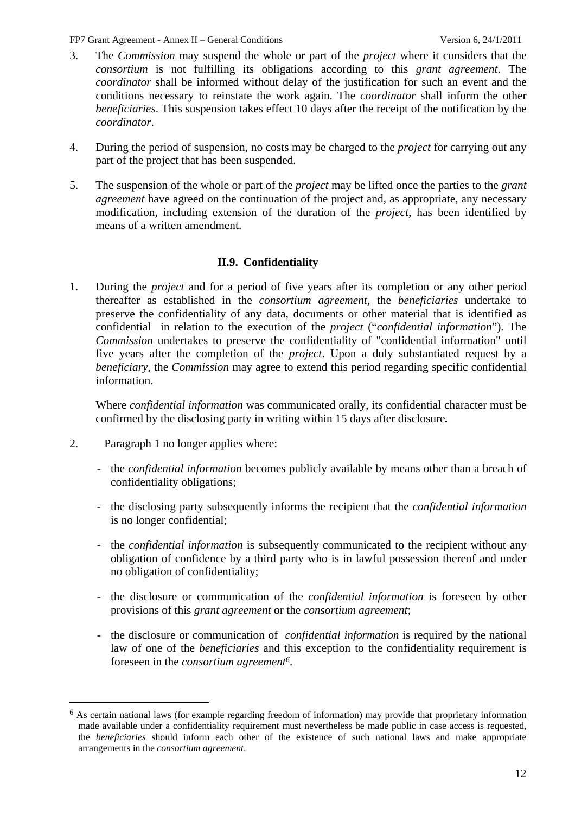- 3. The *Commission* may suspend the whole or part of the *project* where it considers that the *consortium* is not fulfilling its obligations according to this *grant agreement*. The *coordinator* shall be informed without delay of the justification for such an event and the conditions necessary to reinstate the work again. The *coordinator* shall inform the other *beneficiaries*. This suspension takes effect 10 days after the receipt of the notification by the *coordinator*.
- 4. During the period of suspension, no costs may be charged to the *project* for carrying out any part of the project that has been suspended.
- 5. The suspension of the whole or part of the *project* may be lifted once the parties to the *grant agreement* have agreed on the continuation of the project and, as appropriate, any necessary modification, including extension of the duration of the *project*, has been identified by means of a written amendment.

### **II.9. Confidentiality**

<span id="page-11-0"></span>1. During the *project* and for a period of five years after its completion or any other period thereafter as established in the *consortium agreement*, the *beneficiaries* undertake to preserve the confidentiality of any data, documents or other material that is identified as confidential in relation to the execution of the *project* ("*confidential information*"). The *Commission* undertakes to preserve the confidentiality of "confidential information" until five years after the completion of the *project*. Upon a duly substantiated request by a *beneficiary,* the *Commission* may agree to extend this period regarding specific confidential information.

Where *confidential information* was communicated orally, its confidential character must be confirmed by the disclosing party in writing within 15 days after disclosure*.*

2. Paragraph 1 no longer applies where:

- the *confidential information* becomes publicly available by means other than a breach of confidentiality obligations;
- the disclosing party subsequently informs the recipient that the *confidential information* is no longer confidential;
- the *confidential information* is subsequently communicated to the recipient without any obligation of confidence by a third party who is in lawful possession thereof and under no obligation of confidentiality;
- the disclosure or communication of the *confidential information* is foreseen by other provisions of this *grant agreement* or the *consortium agreement*;
- the disclosure or communication of *confidential information* is required by the national law of one of the *beneficiaries* and this exception to the confidentiality requirement is foreseen in the *consortium agreement6*.

<sup>6</sup> As certain national laws (for example regarding freedom of information) may provide that proprietary information made available under a confidentiality requirement must nevertheless be made public in case access is requested, the *beneficiaries* should inform each other of the existence of such national laws and make appropriate arrangements in the *consortium agreement*.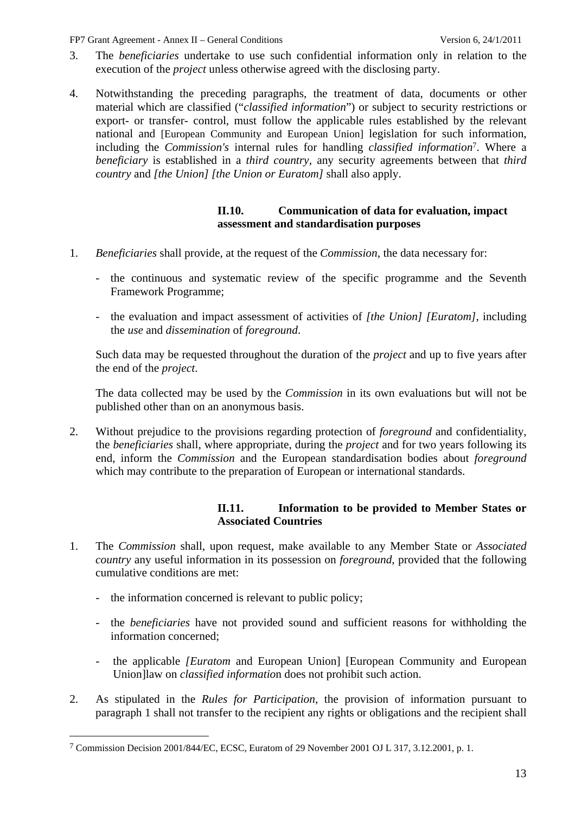- 3. The *beneficiaries* undertake to use such confidential information only in relation to the execution of the *project* unless otherwise agreed with the disclosing party.
- 4. Notwithstanding the preceding paragraphs, the treatment of data, documents or other material which are classified ("*classified information*") or subject to security restrictions or export- or transfer- control, must follow the applicable rules established by the relevant national and [European Community and European Union] legislation for such information, including the *Commission's* internal rules for handling *classified information*7. Where a *beneficiary* is established in a *third country*, any security agreements between that *third country* and *[the Union] [the Union or Euratom]* shall also apply.

#### **II.10. Communication of data for evaluation, impact assessment and standardisation purposes**

- <span id="page-12-0"></span>1. *Beneficiaries* shall provide, at the request of the *Commission*, the data necessary for:
	- the continuous and systematic review of the specific programme and the Seventh Framework Programme;
	- the evaluation and impact assessment of activities of *[the Union] [Euratom]*, including the *use* and *dissemination* of *foreground*.

Such data may be requested throughout the duration of the *project* and up to five years after the end of the *project*.

The data collected may be used by the *Commission* in its own evaluations but will not be published other than on an anonymous basis.

2. Without prejudice to the provisions regarding protection of *foreground* and confidentiality, the *beneficiaries* shall, where appropriate, during the *project* and for two years following its end, inform the *Commission* and the European standardisation bodies about *foreground* which may contribute to the preparation of European or international standards.

### **II.11. Information to be provided to Member States or Associated Countries**

- <span id="page-12-1"></span>1. The *Commission* shall, upon request, make available to any Member State or *Associated country* any useful information in its possession on *foreground*, provided that the following cumulative conditions are met:
	- the information concerned is relevant to public policy;

- the *beneficiaries* have not provided sound and sufficient reasons for withholding the information concerned;
- the applicable *[Euratom* and European Union] [European Community and European Union]law on *classified informatio*n does not prohibit such action.
- 2. As stipulated in the *Rules for Participation*, the provision of information pursuant to paragraph 1 shall not transfer to the recipient any rights or obligations and the recipient shall

<sup>7</sup> Commission Decision 2001/844/EC, ECSC, Euratom of 29 November 2001 OJ L 317, 3.12.2001, p. 1.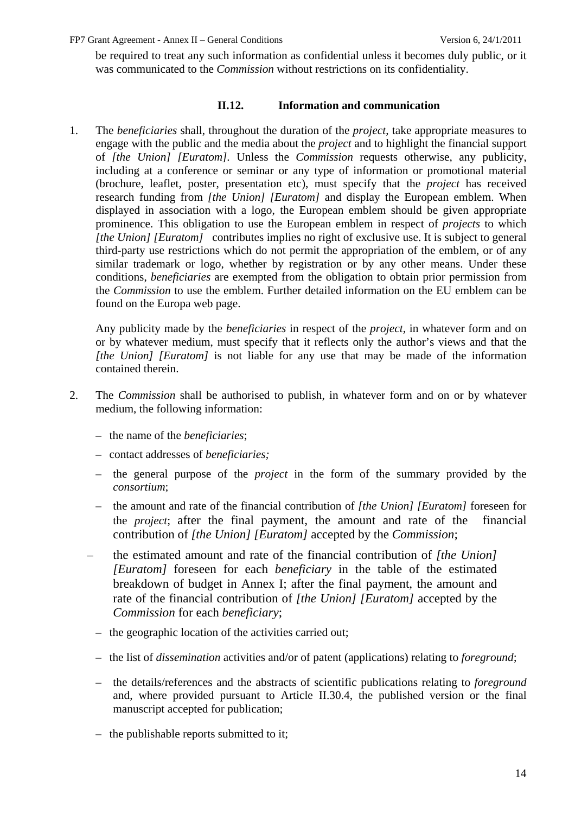be required to treat any such information as confidential unless it becomes duly public, or it was communicated to the *Commission* without restrictions on its confidentiality.

#### **II.12. Information and communication**

<span id="page-13-0"></span>1. The *beneficiaries* shall, throughout the duration of the *project*, take appropriate measures to engage with the public and the media about the *project* and to highlight the financial support of *[the Union] [Euratom].* Unless the *Commission* requests otherwise, any publicity, including at a conference or seminar or any type of information or promotional material (brochure, leaflet, poster, presentation etc), must specify that the *project* has received research funding from *[the Union] [Euratom]* and display the European emblem. When displayed in association with a logo, the European emblem should be given appropriate prominence. This obligation to use the European emblem in respect of *projects* to which *[the Union] [Euratom]* contributes implies no right of exclusive use. It is subject to general third-party use restrictions which do not permit the appropriation of the emblem, or of any similar trademark or logo, whether by registration or by any other means. Under these conditions, *beneficiaries* are exempted from the obligation to obtain prior permission from the *Commission* to use the emblem. Further detailed information on the EU emblem can be found on the Europa web page.

Any publicity made by the *beneficiaries* in respect of the *project*, in whatever form and on or by whatever medium, must specify that it reflects only the author's views and that the *[the Union] [Euratom]* is not liable for any use that may be made of the information contained therein.

- 2. The *Commission* shall be authorised to publish, in whatever form and on or by whatever medium, the following information:
	- the name of the *beneficiaries*;
	- contact addresses of *beneficiaries;*
	- the general purpose of the *project* in the form of the summary provided by the *consortium*;
	- the amount and rate of the financial contribution of *[the Union] [Euratom]* foreseen for the *project*; after the final payment, the amount and rate of the financial contribution of *[the Union] [Euratom]* accepted by the *Commission*;
	- the estimated amount and rate of the financial contribution of *[the Union] [Euratom]* foreseen for each *beneficiary* in the table of the estimated breakdown of budget in Annex I; after the final payment, the amount and rate of the financial contribution of *[the Union] [Euratom]* accepted by the *Commission* for each *beneficiary*;
		- the geographic location of the activities carried out;
		- the list of *dissemination* activities and/or of patent (applications) relating to *foreground*;
		- the details/references and the abstracts of scientific publications relating to *foreground* and, where provided pursuant to Article II.30.4, the published version or the final manuscript accepted for publication;
		- the publishable reports submitted to it;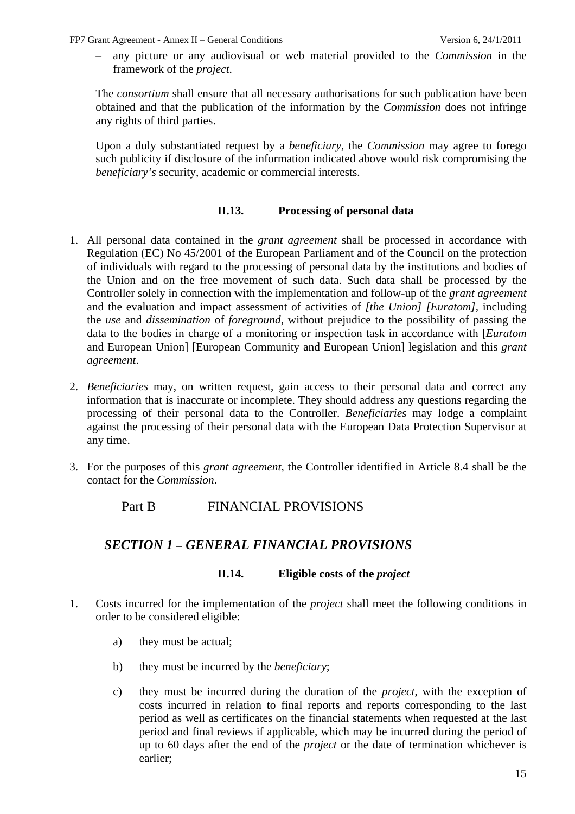– any picture or any audiovisual or web material provided to the *Commission* in the framework of the *project*.

The *consortium* shall ensure that all necessary authorisations for such publication have been obtained and that the publication of the information by the *Commission* does not infringe any rights of third parties.

Upon a duly substantiated request by a *beneficiary*, the *Commission* may agree to forego such publicity if disclosure of the information indicated above would risk compromising the *beneficiary's* security, academic or commercial interests.

#### **II.13. Processing of personal data**

- <span id="page-14-0"></span>1. All personal data contained in the *grant agreement* shall be processed in accordance with Regulation (EC) No 45/2001 of the European Parliament and of the Council on the protection of individuals with regard to the processing of personal data by the institutions and bodies of the Union and on the free movement of such data. Such data shall be processed by the Controller solely in connection with the implementation and follow-up of the *grant agreement* and the evaluation and impact assessment of activities of *[the Union] [Euratom],* including the *use* and *dissemination* of *foreground*, without prejudice to the possibility of passing the data to the bodies in charge of a monitoring or inspection task in accordance with [*Euratom*  and European Union] [European Community and European Union] legislation and this *grant agreement*.
- 2. *Beneficiaries* may, on written request, gain access to their personal data and correct any information that is inaccurate or incomplete. They should address any questions regarding the processing of their personal data to the Controller. *Beneficiaries* may lodge a complaint against the processing of their personal data with the European Data Protection Supervisor at any time.
- <span id="page-14-2"></span><span id="page-14-1"></span>3. For the purposes of this *grant agreement*, the Controller identified in Article 8.4 shall be the contact for the *Commission*.

### Part B FINANCIAL PROVISIONS

## *SECTION 1 – GENERAL FINANCIAL PROVISIONS*

#### **II.14. Eligible costs of the** *project*

- <span id="page-14-3"></span>1. Costs incurred for the implementation of the *project* shall meet the following conditions in order to be considered eligible:
	- a) they must be actual;
	- b) they must be incurred by the *beneficiary*;
	- c) they must be incurred during the duration of the *project*, with the exception of costs incurred in relation to final reports and reports corresponding to the last period as well as certificates on the financial statements when requested at the last period and final reviews if applicable, which may be incurred during the period of up to 60 days after the end of the *project* or the date of termination whichever is earlier;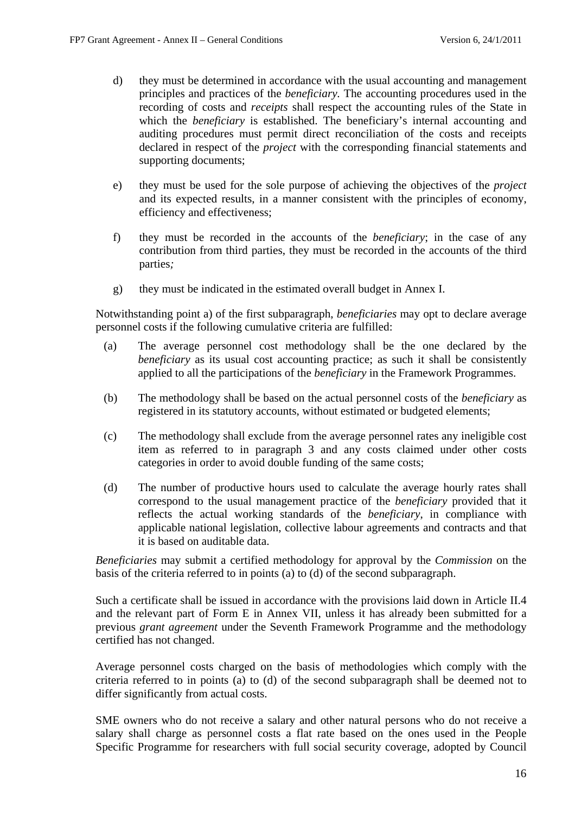- d) they must be determined in accordance with the usual accounting and management principles and practices of the *beneficiary.* The accounting procedures used in the recording of costs and *receipts* shall respect the accounting rules of the State in which the *beneficiary* is established. The beneficiary's internal accounting and auditing procedures must permit direct reconciliation of the costs and receipts declared in respect of the *project* with the corresponding financial statements and supporting documents;
- e) they must be used for the sole purpose of achieving the objectives of the *project* and its expected results, in a manner consistent with the principles of economy, efficiency and effectiveness;
- f) they must be recorded in the accounts of the *beneficiary*; in the case of any contribution from third parties, they must be recorded in the accounts of the third parties*;*
- g) they must be indicated in the estimated overall budget in Annex I.

Notwithstanding point a) of the first subparagraph, *beneficiaries* may opt to declare average personnel costs if the following cumulative criteria are fulfilled:

- (a) The average personnel cost methodology shall be the one declared by the *beneficiary* as its usual cost accounting practice; as such it shall be consistently applied to all the participations of the *beneficiary* in the Framework Programmes.
- (b) The methodology shall be based on the actual personnel costs of the *beneficiary* as registered in its statutory accounts, without estimated or budgeted elements;
- (c) The methodology shall exclude from the average personnel rates any ineligible cost item as referred to in paragraph 3 and any costs claimed under other costs categories in order to avoid double funding of the same costs;
- (d) The number of productive hours used to calculate the average hourly rates shall correspond to the usual management practice of the *beneficiary* provided that it reflects the actual working standards of the *beneficiary*, in compliance with applicable national legislation, collective labour agreements and contracts and that it is based on auditable data.

*Beneficiaries* may submit a certified methodology for approval by the *Commission* on the basis of the criteria referred to in points (a) to (d) of the second subparagraph.

Such a certificate shall be issued in accordance with the provisions laid down in Article II.4 and the relevant part of Form E in Annex VII, unless it has already been submitted for a previous *grant agreement* under the Seventh Framework Programme and the methodology certified has not changed.

Average personnel costs charged on the basis of methodologies which comply with the criteria referred to in points (a) to (d) of the second subparagraph shall be deemed not to differ significantly from actual costs.

SME owners who do not receive a salary and other natural persons who do not receive a salary shall charge as personnel costs a flat rate based on the ones used in the People Specific Programme for researchers with full social security coverage, adopted by Council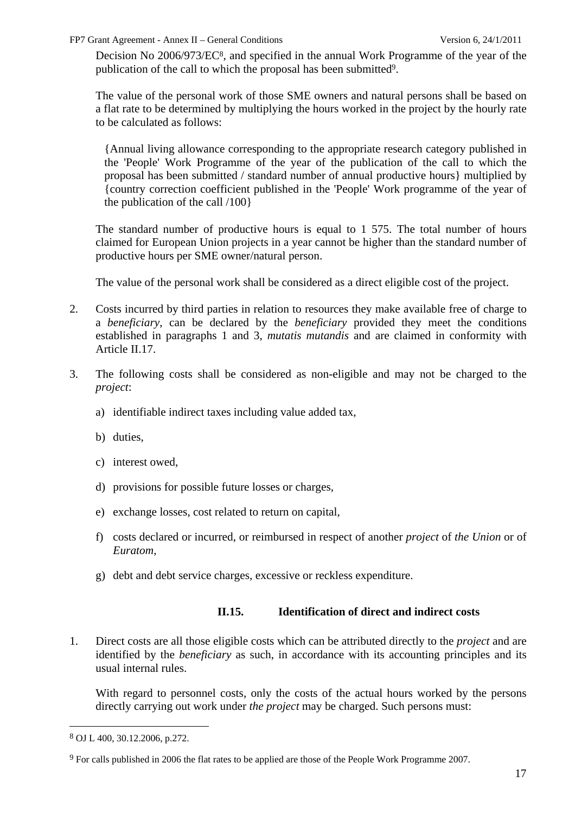Decision No 2006/973/EC8, and specified in the annual Work Programme of the year of the publication of the call to which the proposal has been submitted9.

The value of the personal work of those SME owners and natural persons shall be based on a flat rate to be determined by multiplying the hours worked in the project by the hourly rate to be calculated as follows:

{Annual living allowance corresponding to the appropriate research category published in the 'People' Work Programme of the year of the publication of the call to which the proposal has been submitted / standard number of annual productive hours} multiplied by {country correction coefficient published in the 'People' Work programme of the year of the publication of the call /100}

The standard number of productive hours is equal to 1 575. The total number of hours claimed for European Union projects in a year cannot be higher than the standard number of productive hours per SME owner/natural person.

The value of the personal work shall be considered as a direct eligible cost of the project.

- 2. Costs incurred by third parties in relation to resources they make available free of charge to a *beneficiary*, can be declared by the *beneficiary* provided they meet the conditions established in paragraphs 1 and 3, *mutatis mutandis* and are claimed in conformity with Article II.17.
- 3. The following costs shall be considered as non-eligible and may not be charged to the *project*:
	- a) identifiable indirect taxes including value added tax,
	- b) duties,
	- c) interest owed,
	- d) provisions for possible future losses or charges,
	- e) exchange losses, cost related to return on capital,
	- f) costs declared or incurred, or reimbursed in respect of another *project* of *the Union* or of *Euratom*,
	- g) debt and debt service charges, excessive or reckless expenditure.

### **II.15. Identification of direct and indirect costs**

<span id="page-16-0"></span>1. Direct costs are all those eligible costs which can be attributed directly to the *project* and are identified by the *beneficiary* as such, in accordance with its accounting principles and its usual internal rules.

With regard to personnel costs, only the costs of the actual hours worked by the persons directly carrying out work under *the project* may be charged. Such persons must:

<sup>8</sup> OJ L 400, 30.12.2006, p.272.

<sup>9</sup> For calls published in 2006 the flat rates to be applied are those of the People Work Programme 2007.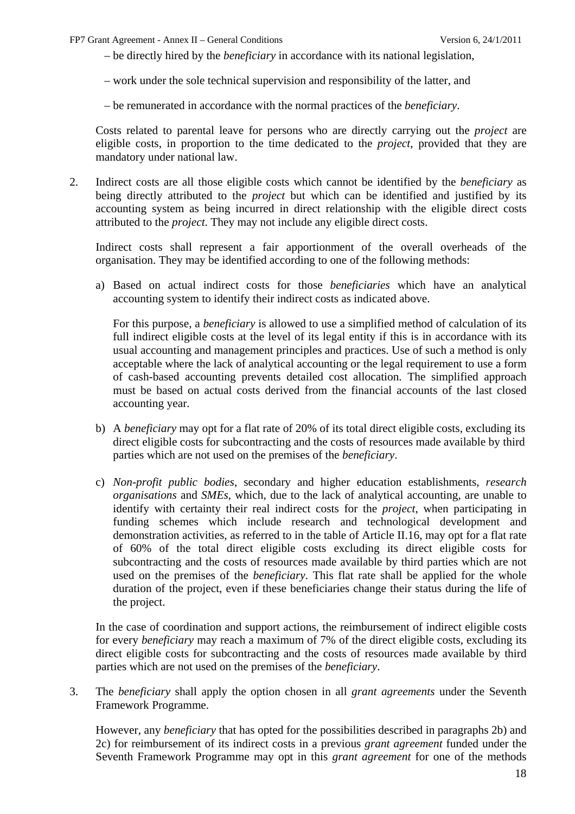– be directly hired by the *beneficiary* in accordance with its national legislation,

– work under the sole technical supervision and responsibility of the latter, and

– be remunerated in accordance with the normal practices of the *beneficiary*.

Costs related to parental leave for persons who are directly carrying out the *project* are eligible costs, in proportion to the time dedicated to the *project*, provided that they are mandatory under national law.

2. Indirect costs are all those eligible costs which cannot be identified by the *beneficiary* as being directly attributed to the *project* but which can be identified and justified by its accounting system as being incurred in direct relationship with the eligible direct costs attributed to the *project*. They may not include any eligible direct costs.

Indirect costs shall represent a fair apportionment of the overall overheads of the organisation. They may be identified according to one of the following methods:

a) Based on actual indirect costs for those *beneficiaries* which have an analytical accounting system to identify their indirect costs as indicated above.

For this purpose, a *beneficiary* is allowed to use a simplified method of calculation of its full indirect eligible costs at the level of its legal entity if this is in accordance with its usual accounting and management principles and practices. Use of such a method is only acceptable where the lack of analytical accounting or the legal requirement to use a form of cash-based accounting prevents detailed cost allocation. The simplified approach must be based on actual costs derived from the financial accounts of the last closed accounting year.

- b) A *beneficiary* may opt for a flat rate of 20% of its total direct eligible costs, excluding its direct eligible costs for subcontracting and the costs of resources made available by third parties which are not used on the premises of the *beneficiary*.
- c) *Non-profit public bodies*, secondary and higher education establishments, *research organisations* and *SMEs*, which, due to the lack of analytical accounting, are unable to identify with certainty their real indirect costs for the *project*, when participating in funding schemes which include research and technological development and demonstration activities, as referred to in the table of Article II.16, may opt for a flat rate of 60% of the total direct eligible costs excluding its direct eligible costs for subcontracting and the costs of resources made available by third parties which are not used on the premises of the *beneficiary*. This flat rate shall be applied for the whole duration of the project, even if these beneficiaries change their status during the life of the project.

In the case of coordination and support actions, the reimbursement of indirect eligible costs for every *beneficiary* may reach a maximum of 7% of the direct eligible costs, excluding its direct eligible costs for subcontracting and the costs of resources made available by third parties which are not used on the premises of the *beneficiary*.

3. The *beneficiary* shall apply the option chosen in all *grant agreements* under the Seventh Framework Programme.

However, any *beneficiary* that has opted for the possibilities described in paragraphs 2b) and 2c) for reimbursement of its indirect costs in a previous *grant agreement* funded under the Seventh Framework Programme may opt in this *grant agreement* for one of the methods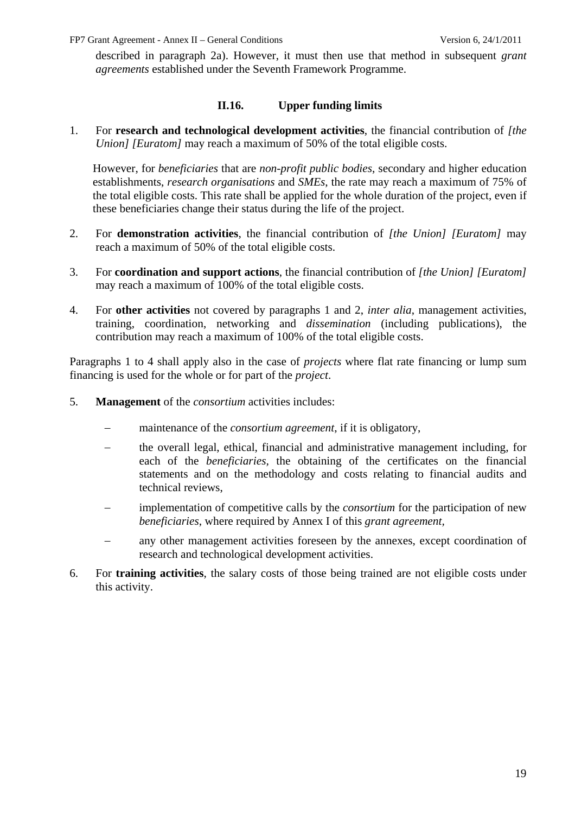described in paragraph 2a). However, it must then use that method in subsequent *grant agreements* established under the Seventh Framework Programme.

#### **II.16. Upper funding limits**

<span id="page-18-0"></span>1. For **research and technological development activities**, the financial contribution of *[the Union] [Euratom]* may reach a maximum of 50% of the total eligible costs.

However, for *beneficiaries* that are *non-profit public bodies*, secondary and higher education establishments, *research organisations* and *SMEs*, the rate may reach a maximum of 75% of the total eligible costs. This rate shall be applied for the whole duration of the project, even if these beneficiaries change their status during the life of the project.

- 2. For **demonstration activities**, the financial contribution of *[the Union] [Euratom]* may reach a maximum of 50% of the total eligible costs.
- 3. For **coordination and support actions**, the financial contribution of *[the Union] [Euratom]* may reach a maximum of 100% of the total eligible costs.
- 4. For **other activities** not covered by paragraphs 1 and 2, *inter alia*, management activities, training, coordination, networking and *dissemination* (including publications), the contribution may reach a maximum of 100% of the total eligible costs.

Paragraphs 1 to 4 shall apply also in the case of *projects* where flat rate financing or lump sum financing is used for the whole or for part of the *project*.

- 5. **Management** of the *consortium* activities includes:
	- − maintenance of the *consortium agreement*, if it is obligatory,
	- − the overall legal, ethical, financial and administrative management including, for each of the *beneficiaries,* the obtaining of the certificates on the financial statements and on the methodology and costs relating to financial audits and technical reviews,
	- − implementation of competitive calls by the *consortium* for the participation of new *beneficiaries*, where required by Annex I of this *grant agreement,*
	- − any other management activities foreseen by the annexes, except coordination of research and technological development activities.
- 6. For **training activities**, the salary costs of those being trained are not eligible costs under this activity.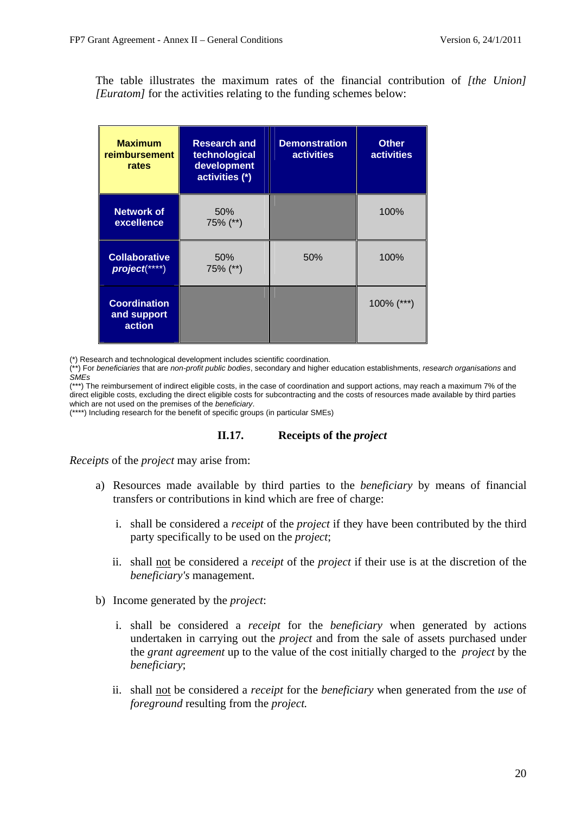The table illustrates the maximum rates of the financial contribution of *[the Union] [Euratom]* for the activities relating to the funding schemes below:

| <b>Maximum</b><br>reimbursement<br>rates     | <b>Research and</b><br>technological<br>development<br>activities (*) | <b>Demonstration</b><br><b>activities</b> | <b>Other</b><br><b>activities</b> |
|----------------------------------------------|-----------------------------------------------------------------------|-------------------------------------------|-----------------------------------|
| Network of<br>excellence                     | 50%<br>75% (**)                                                       |                                           | 100%                              |
| <b>Collaborative</b><br>project(****)        | 50%<br>75% (**)                                                       | 50%                                       | 100%                              |
| <b>Coordination</b><br>and support<br>action |                                                                       |                                           | $100\%$ (***)                     |

(\*) Research and technological development includes scientific coordination.

(\*\*) For *beneficiaries* that are *non-profit public bodies*, secondary and higher education establishments, *research organisations* and *SMEs*

(\*\*\*) The reimbursement of indirect eligible costs, in the case of coordination and support actions, may reach a maximum 7% of the direct eligible costs, excluding the direct eligible costs for subcontracting and the costs of resources made available by third parties which are not used on the premises of the *beneficiary*.

<span id="page-19-0"></span>(\*\*\*\*) Including research for the benefit of specific groups (in particular SMEs)

#### **II.17. Receipts of the** *project*

*Receipts* of the *project* may arise from:

- a) Resources made available by third parties to the *beneficiary* by means of financial transfers or contributions in kind which are free of charge:
	- i. shall be considered a *receipt* of the *project* if they have been contributed by the third party specifically to be used on the *project*;
	- ii. shall not be considered a *receipt* of the *project* if their use is at the discretion of the *beneficiary's* management.
- b) Income generated by the *project*:
	- i. shall be considered a *receipt* for the *beneficiary* when generated by actions undertaken in carrying out the *project* and from the sale of assets purchased under the *grant agreement* up to the value of the cost initially charged to the *project* by the *beneficiary*;
	- ii. shall not be considered a *receipt* for the *beneficiary* when generated from the *use* of *foreground* resulting from the *project.*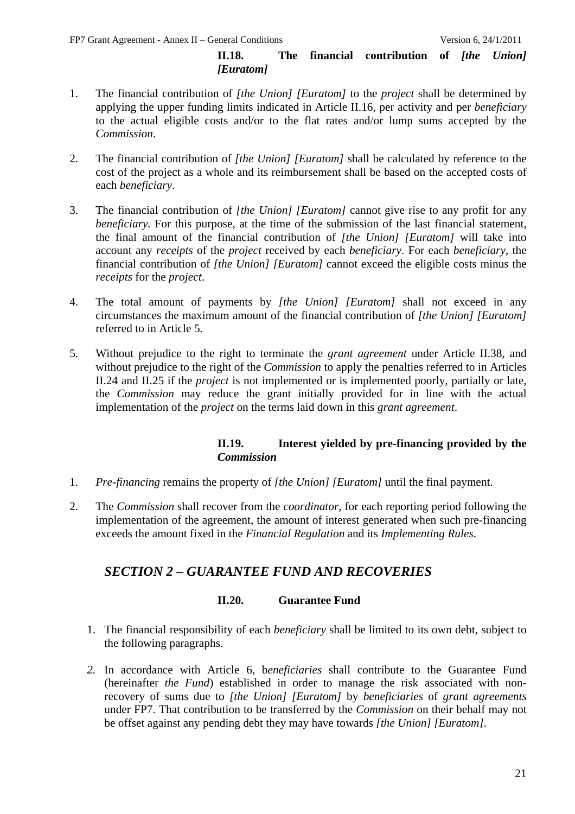### **II.18. The financial contribution of** *[the Union] [Euratom]*

- <span id="page-20-0"></span>1. The financial contribution of *[the Union] [Euratom]* to the *project* shall be determined by applying the upper funding limits indicated in Article II.16, per activity and per *beneficiary* to the actual eligible costs and/or to the flat rates and/or lump sums accepted by the *Commission*.
- 2. The financial contribution of *[the Union] [Euratom]* shall be calculated by reference to the cost of the project as a whole and its reimbursement shall be based on the accepted costs of each *beneficiary*.
- 3. The financial contribution of *[the Union] [Euratom]* cannot give rise to any profit for any *beneficiary*. For this purpose, at the time of the submission of the last financial statement, the final amount of the financial contribution of *[the Union] [Euratom]* will take into account any *receipts* of the *project* received by each *beneficiary*. For each *beneficiary*, the financial contribution of *[the Union] [Euratom]* cannot exceed the eligible costs minus the *receipts* for the *project*.
- 4. The total amount of payments by *[the Union] [Euratom]* shall not exceed in any circumstances the maximum amount of the financial contribution of *[the Union] [Euratom]*  referred to in Article 5.
- 5. Without prejudice to the right to terminate the *grant agreement* under Article II.38, and without prejudice to the right of the *Commission* to apply the penalties referred to in Articles II.24 and II.25 if the *project* is not implemented or is implemented poorly, partially or late, the *Commission* may reduce the grant initially provided for in line with the actual implementation of the *project* on the terms laid down in this *grant agreement*.

### **II.19. Interest yielded by pre-financing provided by the**  *Commission*

- <span id="page-20-1"></span>1. *Pre-financing* remains the property of *[the Union] [Euratom]* until the final payment.
- <span id="page-20-2"></span>2. The *Commission* shall recover from the *coordinator*, for each reporting period following the implementation of the agreement, the amount of interest generated when such pre-financing exceeds the amount fixed in the *Financial Regulation* and its *Implementing Rules*.

# *SECTION 2 – GUARANTEE FUND AND RECOVERIES*

#### **II.20. Guarantee Fund**

- <span id="page-20-3"></span>1. The financial responsibility of each *beneficiary* shall be limited to its own debt, subject to the following paragraphs.
- *2.* In accordance with Article 6, b*eneficiaries* shall contribute to the Guarantee Fund (hereinafter *the Fund*) established in order to manage the risk associated with nonrecovery of sums due to *[the Union] [Euratom]* by *beneficiaries* of *grant agreements* under FP7. That contribution to be transferred by the *Commission* on their behalf may not be offset against any pending debt they may have towards *[the Union] [Euratom].*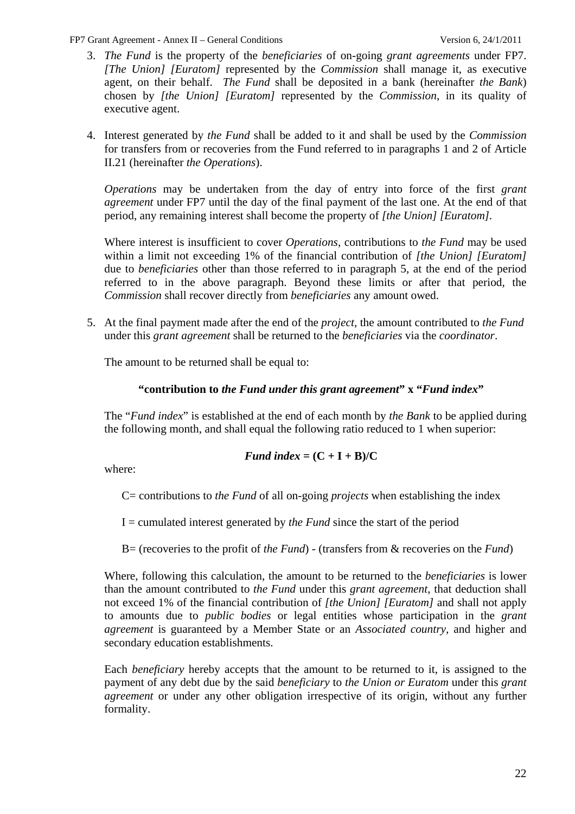- 3. *The Fund* is the property of the *beneficiaries* of on-going *grant agreements* under FP7. *[The Union] [Euratom]* represented by the *Commission* shall manage it, as executive agent, on their behalf. *The Fund* shall be deposited in a bank (hereinafter *the Bank*) chosen by *[the Union] [Euratom]* represented by the *Commission*, in its quality of executive agent.
- 4. Interest generated by *the Fund* shall be added to it and shall be used by the *Commission* for transfers from or recoveries from the Fund referred to in paragraphs 1 and 2 of Article II.21 (hereinafter *the Operations*).

*Operations* may be undertaken from the day of entry into force of the first *grant agreement* under FP7 until the day of the final payment of the last one. At the end of that period, any remaining interest shall become the property of *[the Union] [Euratom].* 

Where interest is insufficient to cover *Operations*, contributions to *the Fund* may be used within a limit not exceeding 1% of the financial contribution of *[the Union] [Euratom]*  due to *beneficiaries* other than those referred to in paragraph 5, at the end of the period referred to in the above paragraph. Beyond these limits or after that period, the *Commission* shall recover directly from *beneficiaries* any amount owed.

5. At the final payment made after the end of the *project*, the amount contributed to *the Fund* under this *grant agreement* shall be returned to the *beneficiaries* via the *coordinator*.

The amount to be returned shall be equal to:

### **"contribution to** *the Fund under this grant agreement***" x "***Fund index***"**

The "*Fund index*" is established at the end of each month by *the Bank* to be applied during the following month, and shall equal the following ratio reduced to 1 when superior:

#### *Fund index* =  $(C + I + B)/C$

where:

C= contributions to *the Fund* of all on-going *projects* when establishing the index

I = cumulated interest generated by *the Fund* since the start of the period

B= (recoveries to the profit of *the Fund*) - (transfers from & recoveries on the *Fund*)

Where, following this calculation, the amount to be returned to the *beneficiaries* is lower than the amount contributed to *the Fund* under this *grant agreement*, that deduction shall not exceed 1% of the financial contribution of *[the Union] [Euratom]* and shall not apply to amounts due to *public bodies* or legal entities whose participation in the *grant agreement* is guaranteed by a Member State or an *Associated country*, and higher and secondary education establishments.

Each *beneficiary* hereby accepts that the amount to be returned to it, is assigned to the payment of any debt due by the said *beneficiary* to *the Union or Euratom* under this *grant agreement* or under any other obligation irrespective of its origin*,* without any further formality.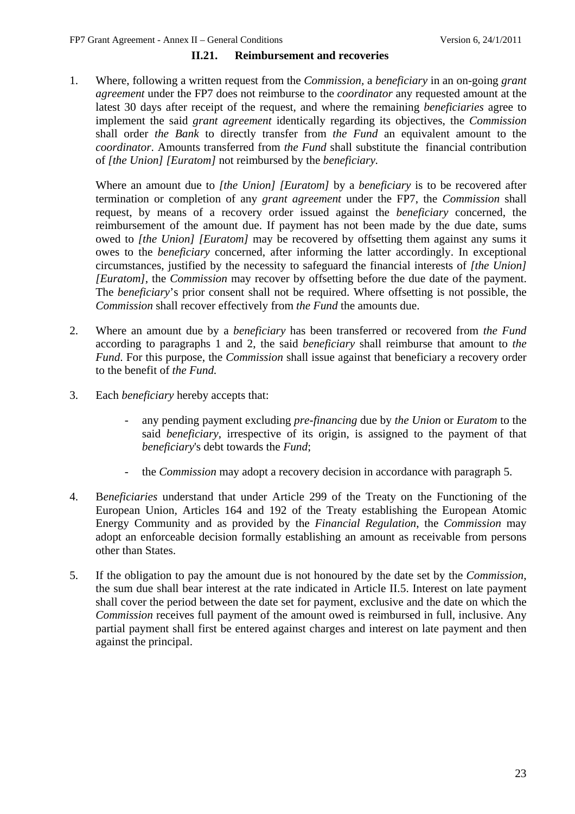#### **II.21. Reimbursement and recoveries**

<span id="page-22-0"></span>1. Where, following a written request from the *Commission,* a *beneficiary* in an on-going *grant agreement* under the FP7 does not reimburse to the *coordinator* any requested amount at the latest 30 days after receipt of the request, and where the remaining *beneficiaries* agree to implement the said *grant agreement* identically regarding its objectives, the *Commission* shall order *the Bank* to directly transfer from *the Fund* an equivalent amount to the *coordinator*. Amounts transferred from *the Fund* shall substitute the financial contribution of *[the Union] [Euratom]* not reimbursed by the *beneficiary.*

Where an amount due to *[the Union] [Euratom]* by a *beneficiary* is to be recovered after termination or completion of any *grant agreement* under the FP7, the *Commission* shall request, by means of a recovery order issued against the *beneficiary* concerned, the reimbursement of the amount due. If payment has not been made by the due date, sums owed to *[the Union] [Euratom]* may be recovered by offsetting them against any sums it owes to the *beneficiary* concerned, after informing the latter accordingly. In exceptional circumstances, justified by the necessity to safeguard the financial interests of *[the Union] [Euratom]*, the *Commission* may recover by offsetting before the due date of the payment. The *beneficiary*'s prior consent shall not be required. Where offsetting is not possible, the *Commission* shall recover effectively from *the Fund* the amounts due.

- 2. Where an amount due by a *beneficiary* has been transferred or recovered from *the Fund* according to paragraphs 1 and 2, the said *beneficiary* shall reimburse that amount to *the Fund*. For this purpose, the *Commission* shall issue against that beneficiary a recovery order to the benefit of *the Fund.*
- 3. Each *beneficiary* hereby accepts that:
	- any pending payment excluding *pre-financing* due by *the Union* or *Euratom* to the said *beneficiary*, irrespective of its origin, is assigned to the payment of that *beneficiary*'s debt towards the *Fund*;
	- the *Commission* may adopt a recovery decision in accordance with paragraph 5.
- 4. B*eneficiaries* understand that under Article 299 of the Treaty on the Functioning of the European Union*,* Articles 164 and 192 of the Treaty establishing the European Atomic Energy Community and as provided by the *Financial Regulation*, the *Commission* may adopt an enforceable decision formally establishing an amount as receivable from persons other than States.
- 5. If the obligation to pay the amount due is not honoured by the date set by the *Commission*, the sum due shall bear interest at the rate indicated in Article II.5. Interest on late payment shall cover the period between the date set for payment, exclusive and the date on which the *Commission* receives full payment of the amount owed is reimbursed in full, inclusive. Any partial payment shall first be entered against charges and interest on late payment and then against the principal.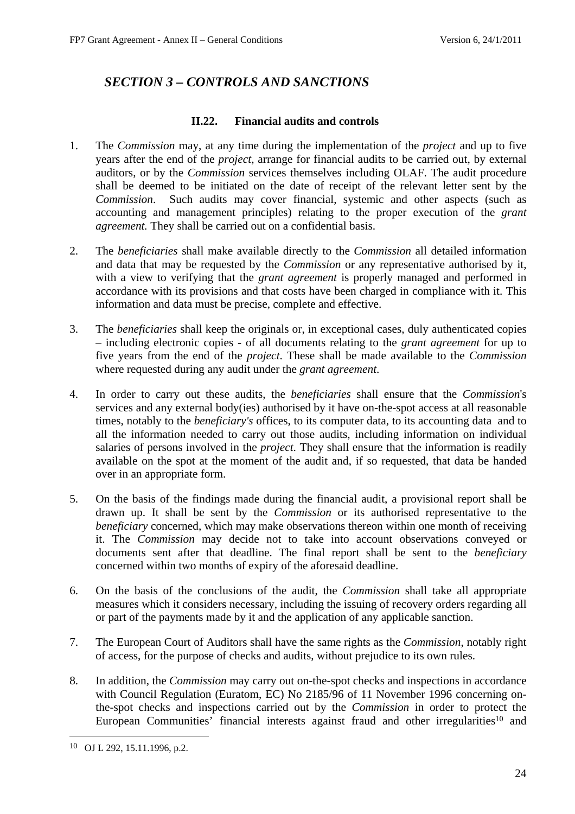# <span id="page-23-0"></span>*SECTION 3 – CONTROLS AND SANCTIONS*

### **II.22. Financial audits and controls**

- <span id="page-23-1"></span>1. The *Commission* may, at any time during the implementation of the *project* and up to five years after the end of the *project*, arrange for financial audits to be carried out, by external auditors, or by the *Commission* services themselves including OLAF. The audit procedure shall be deemed to be initiated on the date of receipt of the relevant letter sent by the *Commission*. Such audits may cover financial, systemic and other aspects (such as accounting and management principles) relating to the proper execution of the *grant agreement.* They shall be carried out on a confidential basis.
- 2. The *beneficiaries* shall make available directly to the *Commission* all detailed information and data that may be requested by the *Commission* or any representative authorised by it, with a view to verifying that the *grant agreement* is properly managed and performed in accordance with its provisions and that costs have been charged in compliance with it. This information and data must be precise, complete and effective.
- 3. The *beneficiaries* shall keep the originals or, in exceptional cases, duly authenticated copies – including electronic copies - of all documents relating to the *grant agreement* for up to five years from the end of the *project*. These shall be made available to the *Commission* where requested during any audit under the *grant agreement*.
- 4. In order to carry out these audits, the *beneficiaries* shall ensure that the *Commission*'s services and any external body(ies) authorised by it have on-the-spot access at all reasonable times, notably to the *beneficiary's* offices, to its computer data, to its accounting data and to all the information needed to carry out those audits, including information on individual salaries of persons involved in the *project*. They shall ensure that the information is readily available on the spot at the moment of the audit and, if so requested, that data be handed over in an appropriate form.
- 5. On the basis of the findings made during the financial audit, a provisional report shall be drawn up. It shall be sent by the *Commission* or its authorised representative to the *beneficiary* concerned, which may make observations thereon within one month of receiving it. The *Commission* may decide not to take into account observations conveyed or documents sent after that deadline. The final report shall be sent to the *beneficiary*  concerned within two months of expiry of the aforesaid deadline.
- 6. On the basis of the conclusions of the audit, the *Commission* shall take all appropriate measures which it considers necessary, including the issuing of recovery orders regarding all or part of the payments made by it and the application of any applicable sanction.
- 7. The European Court of Auditors shall have the same rights as the *Commission*, notably right of access, for the purpose of checks and audits, without prejudice to its own rules.
- 8. In addition, the *Commission* may carry out on-the-spot checks and inspections in accordance with Council Regulation (Euratom, EC) No 2185/96 of 11 November 1996 concerning onthe-spot checks and inspections carried out by the *Commission* in order to protect the European Communities' financial interests against fraud and other irregularities<sup>10</sup> and

<sup>10</sup> OJ L 292, 15.11.1996, p.2.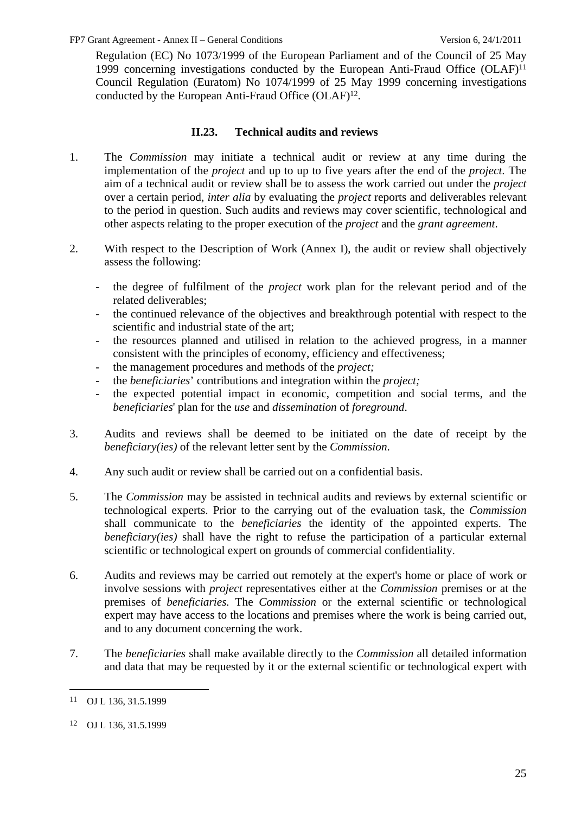Regulation (EC) No 1073/1999 of the European Parliament and of the Council of 25 May 1999 concerning investigations conducted by the European Anti-Fraud Office (OLAF)11 Council Regulation (Euratom) No 1074/1999 of 25 May 1999 concerning investigations conducted by the European Anti-Fraud Office (OLAF)12.

# **II.23. Technical audits and reviews**

- <span id="page-24-0"></span>1. The *Commission* may initiate a technical audit or review at any time during the implementation of the *project* and up to up to five years after the end of the *project*. The aim of a technical audit or review shall be to assess the work carried out under the *project* over a certain period, *inter alia* by evaluating the *project* reports and deliverables relevant to the period in question. Such audits and reviews may cover scientific, technological and other aspects relating to the proper execution of the *project* and the *grant agreement*.
- 2. With respect to the Description of Work (Annex I), the audit or review shall objectively assess the following:
	- the degree of fulfilment of the *project* work plan for the relevant period and of the related deliverables;
	- the continued relevance of the objectives and breakthrough potential with respect to the scientific and industrial state of the art:
	- the resources planned and utilised in relation to the achieved progress, in a manner consistent with the principles of economy, efficiency and effectiveness;
	- the management procedures and methods of the *project*;
	- the *beneficiaries*' contributions and integration within the *project;*
	- the expected potential impact in economic, competition and social terms, and the *beneficiaries*' plan for the *use* and *dissemination* of *foreground*.
- 3. Audits and reviews shall be deemed to be initiated on the date of receipt by the *beneficiary(ies)* of the relevant letter sent by the *Commission*.
- 4. Any such audit or review shall be carried out on a confidential basis.
- 5. The *Commission* may be assisted in technical audits and reviews by external scientific or technological experts. Prior to the carrying out of the evaluation task, the *Commission* shall communicate to the *beneficiaries* the identity of the appointed experts. The *beneficiary(ies)* shall have the right to refuse the participation of a particular external scientific or technological expert on grounds of commercial confidentiality.
- 6. Audits and reviews may be carried out remotely at the expert's home or place of work or involve sessions with *project* representatives either at the *Commission* premises or at the premises of *beneficiaries.* The *Commission* or the external scientific or technological expert may have access to the locations and premises where the work is being carried out, and to any document concerning the work.
- 7. The *beneficiaries* shall make available directly to the *Commission* all detailed information and data that may be requested by it or the external scientific or technological expert with

<sup>11</sup> OJ L 136, 31.5.1999

<sup>12</sup> OJ L 136, 31.5.1999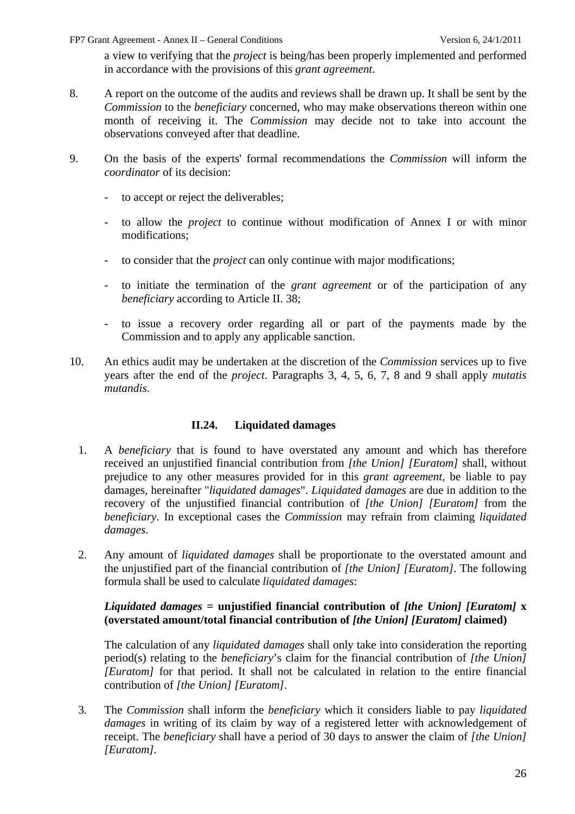a view to verifying that the *project* is being/has been properly implemented and performed in accordance with the provisions of this *grant agreement*.

- 8. A report on the outcome of the audits and reviews shall be drawn up. It shall be sent by the *Commission* to the *beneficiary* concerned, who may make observations thereon within one month of receiving it. The *Commission* may decide not to take into account the observations conveyed after that deadline.
- 9. On the basis of the experts' formal recommendations the *Commission* will inform the *coordinator* of its decision:
	- to accept or reject the deliverables;
	- to allow the *project* to continue without modification of Annex I or with minor modifications;
	- to consider that the *project* can only continue with major modifications;
	- to initiate the termination of the *grant agreement* or of the participation of any *beneficiary* according to Article II. 38;
	- to issue a recovery order regarding all or part of the payments made by the Commission and to apply any applicable sanction.
- 10. An ethics audit may be undertaken at the discretion of the *Commission* services up to five years after the end of the *project*. Paragraphs 3, 4, 5, 6, 7, 8 and 9 shall apply *mutatis mutandis*.

## **II.24. Liquidated damages**

- <span id="page-25-0"></span>1. A *beneficiary* that is found to have overstated any amount and which has therefore received an unjustified financial contribution from *[the Union] [Euratom]* shall, without prejudice to any other measures provided for in this *grant agreement,* be liable to pay damages, hereinafter "*liquidated damages*". *Liquidated damages* are due in addition to the recovery of the unjustified financial contribution of *[the Union] [Euratom]* from the *beneficiary.* In exceptional cases the *Commission* may refrain from claiming *liquidated damages*.
- 2. Any amount of *liquidated damages* shall be proportionate to the overstated amount and the unjustified part of the financial contribution of *[the Union] [Euratom]*. The following formula shall be used to calculate *liquidated damages*:

### *Liquidated damages* **= unjustified financial contribution of** *[the Union] [Euratom]* **x (overstated amount/total financial contribution of** *[the Union] [Euratom]* **claimed)**

The calculation of any *liquidated damages* shall only take into consideration the reporting period(s) relating to the *beneficiary*'s claim for the financial contribution of *[the Union] [Euratom]* for that period. It shall not be calculated in relation to the entire financial contribution of *[the Union] [Euratom]*.

3. The *Commission* shall inform the *beneficiary* which it considers liable to pay *liquidated damages* in writing of its claim by way of a registered letter with acknowledgement of receipt. The *beneficiary* shall have a period of 30 days to answer the claim of *[the Union] [Euratom].*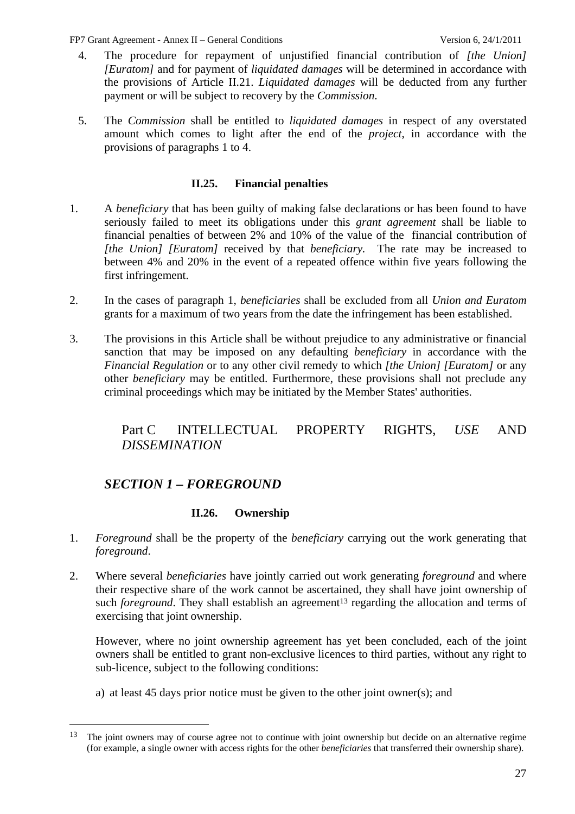- 4. The procedure for repayment of unjustified financial contribution of *[the Union] [Euratom]* and for payment of *liquidated damages* will be determined in accordance with the provisions of Article II.21. *Liquidated damages* will be deducted from any further payment or will be subject to recovery by the *Commission*.
- 5. The *Commission* shall be entitled to *liquidated damages* in respect of any overstated amount which comes to light after the end of the *project*, in accordance with the provisions of paragraphs 1 to 4.

### **II.25. Financial penalties**

- <span id="page-26-0"></span>1. A *beneficiary* that has been guilty of making false declarations or has been found to have seriously failed to meet its obligations under this *grant agreement* shall be liable to financial penalties of between 2% and 10% of the value of the financial contribution of *[the Union] [Euratom]* received by that *beneficiary.* The rate may be increased to between 4% and 20% in the event of a repeated offence within five years following the first infringement.
- 2. In the cases of paragraph 1, *beneficiaries* shall be excluded from all *Union and Euratom*  grants for a maximum of two years from the date the infringement has been established.
- <span id="page-26-1"></span>3. The provisions in this Article shall be without prejudice to any administrative or financial sanction that may be imposed on any defaulting *beneficiary* in accordance with the *Financial Regulation* or to any other civil remedy to which *[the Union] [Euratom]* or any other *beneficiary* may be entitled. Furthermore, these provisions shall not preclude any criminal proceedings which may be initiated by the Member States' authorities.

# Part C INTELLECTUAL PROPERTY RIGHTS, *USE* AND *DISSEMINATION*

# *SECTION 1 – FOREGROUND*

 $\overline{a}$ 

## **II.26. Ownership**

- <span id="page-26-3"></span><span id="page-26-2"></span>1. *Foreground* shall be the property of the *beneficiary* carrying out the work generating that *foreground*.
- 2. Where several *beneficiaries* have jointly carried out work generating *foreground* and where their respective share of the work cannot be ascertained, they shall have joint ownership of such *foreground*. They shall establish an agreement<sup>13</sup> regarding the allocation and terms of exercising that joint ownership.

However, where no joint ownership agreement has yet been concluded, each of the joint owners shall be entitled to grant non-exclusive licences to third parties, without any right to sub-licence, subject to the following conditions:

a) at least 45 days prior notice must be given to the other joint owner(s); and

<sup>&</sup>lt;sup>13</sup> The joint owners may of course agree not to continue with joint ownership but decide on an alternative regime (for example, a single owner with access rights for the other *beneficiaries* that transferred their ownership share).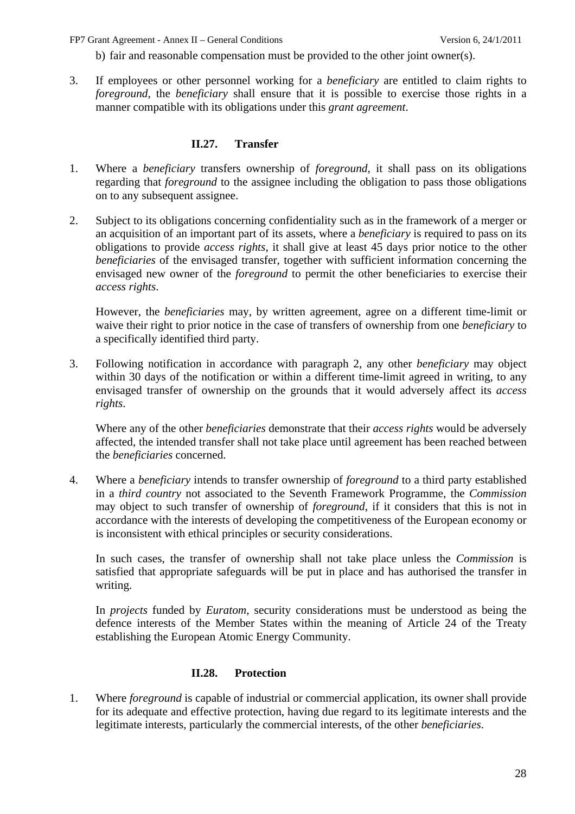b) fair and reasonable compensation must be provided to the other joint owner(s).

3. If employees or other personnel working for a *beneficiary* are entitled to claim rights to *foreground*, the *beneficiary* shall ensure that it is possible to exercise those rights in a manner compatible with its obligations under this *grant agreement*.

#### **II.27. Transfer**

- <span id="page-27-0"></span>1. Where a *beneficiary* transfers ownership of *foreground*, it shall pass on its obligations regarding that *foreground* to the assignee including the obligation to pass those obligations on to any subsequent assignee.
- 2. Subject to its obligations concerning confidentiality such as in the framework of a merger or an acquisition of an important part of its assets, where a *beneficiary* is required to pass on its obligations to provide *access rights*, it shall give at least 45 days prior notice to the other *beneficiaries* of the envisaged transfer, together with sufficient information concerning the envisaged new owner of the *foreground* to permit the other beneficiaries to exercise their *access rights*.

However, the *beneficiaries* may, by written agreement, agree on a different time-limit or waive their right to prior notice in the case of transfers of ownership from one *beneficiary* to a specifically identified third party.

3. Following notification in accordance with paragraph 2, any other *beneficiary* may object within 30 days of the notification or within a different time-limit agreed in writing, to any envisaged transfer of ownership on the grounds that it would adversely affect its *access rights*.

Where any of the other *beneficiaries* demonstrate that their *access rights* would be adversely affected, the intended transfer shall not take place until agreement has been reached between the *beneficiaries* concerned.

4. Where a *beneficiary* intends to transfer ownership of *foreground* to a third party established in a *third country* not associated to the Seventh Framework Programme, the *Commission* may object to such transfer of ownership of *foreground*, if it considers that this is not in accordance with the interests of developing the competitiveness of the European economy or is inconsistent with ethical principles or security considerations.

In such cases, the transfer of ownership shall not take place unless the *Commission* is satisfied that appropriate safeguards will be put in place and has authorised the transfer in writing.

In *projects* funded by *Euratom*, security considerations must be understood as being the defence interests of the Member States within the meaning of Article 24 of the Treaty establishing the European Atomic Energy Community.

### **II.28. Protection**

<span id="page-27-1"></span>1. Where *foreground* is capable of industrial or commercial application, its owner shall provide for its adequate and effective protection, having due regard to its legitimate interests and the legitimate interests, particularly the commercial interests, of the other *beneficiaries*.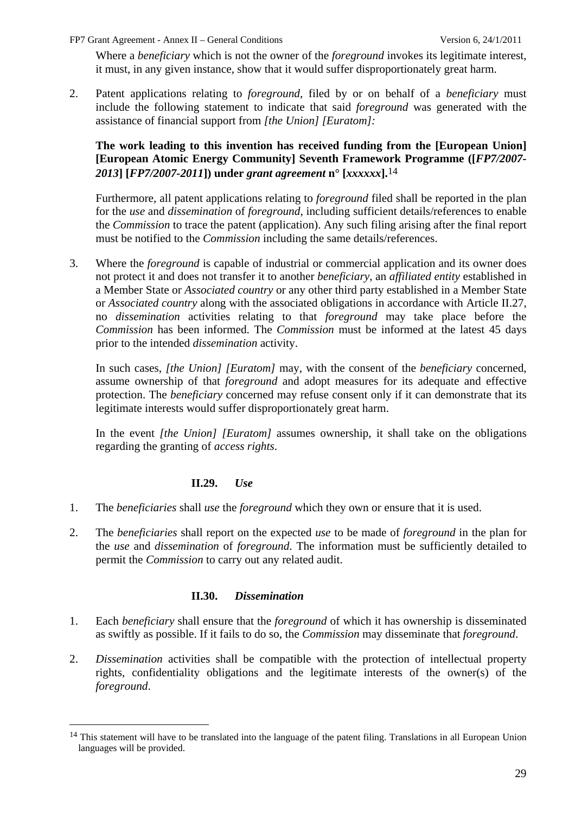Where a *beneficiary* which is not the owner of the *foreground* invokes its legitimate interest, it must, in any given instance, show that it would suffer disproportionately great harm.

2. Patent applications relating to *foreground*, filed by or on behalf of a *beneficiary* must include the following statement to indicate that said *foreground* was generated with the assistance of financial support from *[the Union] [Euratom]:* 

### **The work leading to this invention has received funding from the [European Union] [European Atomic Energy Community] Seventh Framework Programme ([***FP7/2007- 2013***] [***FP7/2007-2011***]) under** *grant agreement* **n° [***xxxxxx***].**14

Furthermore, all patent applications relating to *foreground* filed shall be reported in the plan for the *use* and *dissemination* of *foreground*, including sufficient details/references to enable the *Commission* to trace the patent (application). Any such filing arising after the final report must be notified to the *Commission* including the same details/references.

3. Where the *foreground* is capable of industrial or commercial application and its owner does not protect it and does not transfer it to another *beneficiary*, an *affiliated entity* established in a Member State or *Associated country* or any other third party established in a Member State or *Associated country* along with the associated obligations in accordance with Article II.27, no *dissemination* activities relating to that *foreground* may take place before the *Commission* has been informed. The *Commission* must be informed at the latest 45 days prior to the intended *dissemination* activity.

In such cases, *[the Union] [Euratom]* may, with the consent of the *beneficiary* concerned, assume ownership of that *foreground* and adopt measures for its adequate and effective protection. The *beneficiary* concerned may refuse consent only if it can demonstrate that its legitimate interests would suffer disproportionately great harm.

In the event *[the Union] [Euratom]* assumes ownership, it shall take on the obligations regarding the granting of *access rights*.

#### **II.29.** *Use*

 $\overline{a}$ 

- <span id="page-28-0"></span>1. The *beneficiaries* shall *use* the *foreground* which they own or ensure that it is used.
- 2. The *beneficiaries* shall report on the expected *use* to be made of *foreground* in the plan for the *use* and *dissemination* of *foreground*. The information must be sufficiently detailed to permit the *Commission* to carry out any related audit.

#### **II.30.** *Dissemination*

- <span id="page-28-1"></span>1. Each *beneficiary* shall ensure that the *foreground* of which it has ownership is disseminated as swiftly as possible. If it fails to do so, the *Commission* may disseminate that *foreground*.
- 2. *Dissemination* activities shall be compatible with the protection of intellectual property rights, confidentiality obligations and the legitimate interests of the owner(s) of the *foreground*.

<sup>&</sup>lt;sup>14</sup> This statement will have to be translated into the language of the patent filing. Translations in all European Union languages will be provided.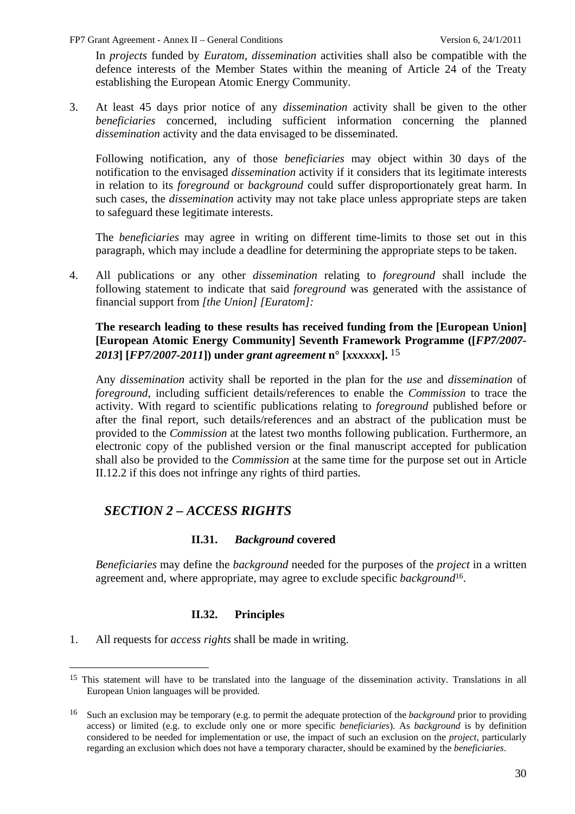In *projects* funded by *Euratom*, *dissemination* activities shall also be compatible with the defence interests of the Member States within the meaning of Article 24 of the Treaty establishing the European Atomic Energy Community.

3. At least 45 days prior notice of any *dissemination* activity shall be given to the other *beneficiaries* concerned, including sufficient information concerning the planned *dissemination* activity and the data envisaged to be disseminated.

Following notification, any of those *beneficiaries* may object within 30 days of the notification to the envisaged *dissemination* activity if it considers that its legitimate interests in relation to its *foreground* or *background* could suffer disproportionately great harm. In such cases, the *dissemination* activity may not take place unless appropriate steps are taken to safeguard these legitimate interests.

The *beneficiaries* may agree in writing on different time-limits to those set out in this paragraph, which may include a deadline for determining the appropriate steps to be taken.

4. All publications or any other *dissemination* relating to *foreground* shall include the following statement to indicate that said *foreground* was generated with the assistance of financial support from *[the Union] [Euratom]:* 

### **The research leading to these results has received funding from the [European Union] [European Atomic Energy Community] Seventh Framework Programme ([***FP7/2007- 2013***] [***FP7/2007-2011***]) under** *grant agreement* **n° [***xxxxxx***].** 15

Any *dissemination* activity shall be reported in the plan for the *use* and *dissemination* of *foreground*, including sufficient details/references to enable the *Commission* to trace the activity. With regard to scientific publications relating to *foreground* published before or after the final report, such details/references and an abstract of the publication must be provided to the *Commission* at the latest two months following publication. Furthermore, an electronic copy of the published version or the final manuscript accepted for publication shall also be provided to the *Commission* at the same time for the purpose set out in Article II.12.2 if this does not infringe any rights of third parties.

# <span id="page-29-0"></span>*SECTION 2 – ACCESS RIGHTS*

## **II.31.** *Background* **covered**

<span id="page-29-1"></span>*Beneficiaries* may define the *background* needed for the purposes of the *project* in a written agreement and, where appropriate, may agree to exclude specific *background*16.

### **II.32. Principles**

<span id="page-29-2"></span>1. All requests for *access rights* shall be made in writing.

<sup>&</sup>lt;sup>15</sup> This statement will have to be translated into the language of the dissemination activity. Translations in all European Union languages will be provided.

<sup>16</sup> Such an exclusion may be temporary (e.g. to permit the adequate protection of the *background* prior to providing access) or limited (e.g. to exclude only one or more specific *beneficiaries*). As *background* is by definition considered to be needed for implementation or use, the impact of such an exclusion on the *project*, particularly regarding an exclusion which does not have a temporary character, should be examined by the *beneficiaries*.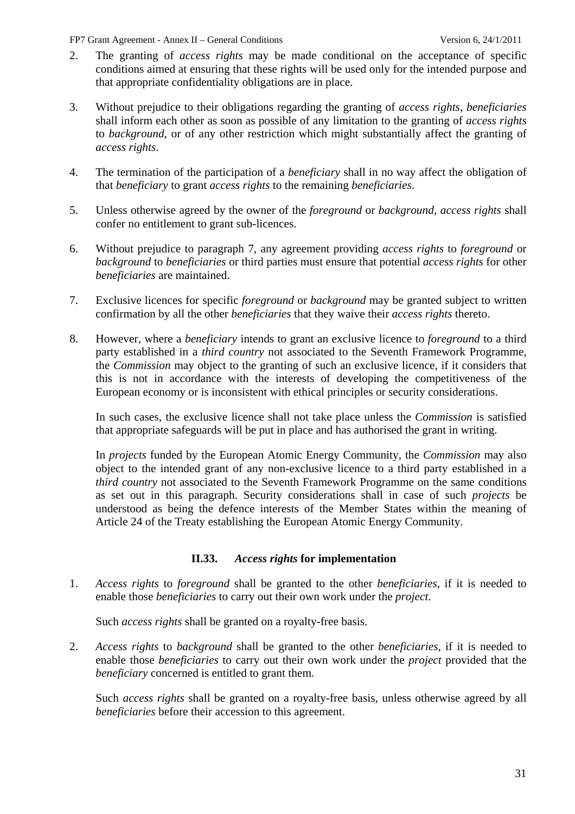- 2. The granting of *access rights* may be made conditional on the acceptance of specific conditions aimed at ensuring that these rights will be used only for the intended purpose and that appropriate confidentiality obligations are in place.
- 3. Without prejudice to their obligations regarding the granting of *access rights*, *beneficiaries* shall inform each other as soon as possible of any limitation to the granting of *access rights* to *background*, or of any other restriction which might substantially affect the granting of *access rights*.
- 4. The termination of the participation of a *beneficiary* shall in no way affect the obligation of that *beneficiary* to grant *access rights* to the remaining *beneficiaries*.
- 5. Unless otherwise agreed by the owner of the *foreground* or *background*, *access rights* shall confer no entitlement to grant sub-licences.
- 6. Without prejudice to paragraph 7, any agreement providing *access rights* to *foreground* or *background* to *beneficiaries* or third parties must ensure that potential *access rights* for other *beneficiaries* are maintained.
- 7. Exclusive licences for specific *foreground* or *background* may be granted subject to written confirmation by all the other *beneficiaries* that they waive their *access rights* thereto.
- 8. However, where a *beneficiary* intends to grant an exclusive licence to *foreground* to a third party established in a *third country* not associated to the Seventh Framework Programme, the *Commission* may object to the granting of such an exclusive licence, if it considers that this is not in accordance with the interests of developing the competitiveness of the European economy or is inconsistent with ethical principles or security considerations.

In such cases, the exclusive licence shall not take place unless the *Commission* is satisfied that appropriate safeguards will be put in place and has authorised the grant in writing.

In *projects* funded by the European Atomic Energy Community, the *Commission* may also object to the intended grant of any non-exclusive licence to a third party established in a *third country* not associated to the Seventh Framework Programme on the same conditions as set out in this paragraph. Security considerations shall in case of such *projects* be understood as being the defence interests of the Member States within the meaning of Article 24 of the Treaty establishing the European Atomic Energy Community.

## **II.33.** *Access rights* **for implementation**

<span id="page-30-0"></span>1. *Access rights* to *foreground* shall be granted to the other *beneficiaries*, if it is needed to enable those *beneficiaries* to carry out their own work under the *project*.

Such *access rights* shall be granted on a royalty-free basis.

2. *Access rights* to *background* shall be granted to the other *beneficiaries*, if it is needed to enable those *beneficiaries* to carry out their own work under the *project* provided that the *beneficiary* concerned is entitled to grant them.

Such *access rights* shall be granted on a royalty-free basis, unless otherwise agreed by all *beneficiaries* before their accession to this agreement.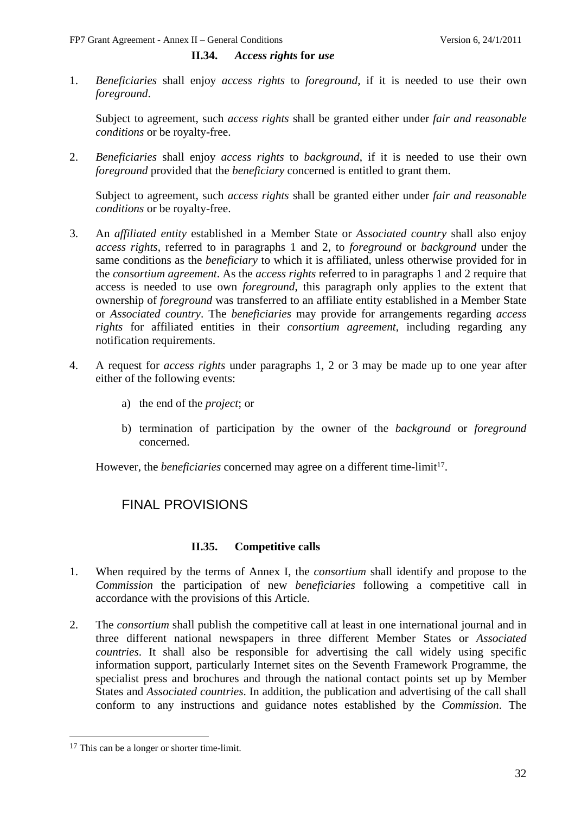#### **II.34.** *Access rights* **for** *use*

<span id="page-31-0"></span>1. *Beneficiaries* shall enjoy *access rights* to *foreground*, if it is needed to use their own *foreground*.

Subject to agreement, such *access rights* shall be granted either under *fair and reasonable conditions* or be royalty-free.

2. *Beneficiaries* shall enjoy *access rights* to *background*, if it is needed to use their own *foreground* provided that the *beneficiary* concerned is entitled to grant them.

Subject to agreement, such *access rights* shall be granted either under *fair and reasonable conditions* or be royalty-free.

- 3. An *affiliated entity* established in a Member State or *Associated country* shall also enjoy *access rights*, referred to in paragraphs 1 and 2, to *foreground* or *background* under the same conditions as the *beneficiary* to which it is affiliated, unless otherwise provided for in the *consortium agreement*. As the *access rights* referred to in paragraphs 1 and 2 require that access is needed to use own *foreground*, this paragraph only applies to the extent that ownership of *foreground* was transferred to an affiliate entity established in a Member State or *Associated country*. The *beneficiaries* may provide for arrangements regarding *access rights* for affiliated entities in their *consortium agreement*, including regarding any notification requirements.
- 4. A request for *access rights* under paragraphs 1, 2 or 3 may be made up to one year after either of the following events:
	- a) the end of the *project*; or
	- b) termination of participation by the owner of the *background* or *foreground* concerned.

<span id="page-31-1"></span>However, the *beneficiaries* concerned may agree on a different time-limit<sup>17</sup>.

# FINAL PROVISIONS

### **II.35. Competitive calls**

- <span id="page-31-2"></span>1. When required by the terms of Annex I, the *consortium* shall identify and propose to the *Commission* the participation of new *beneficiaries* following a competitive call in accordance with the provisions of this Article.
- 2. The *consortium* shall publish the competitive call at least in one international journal and in three different national newspapers in three different Member States or *Associated countries*. It shall also be responsible for advertising the call widely using specific information support, particularly Internet sites on the Seventh Framework Programme, the specialist press and brochures and through the national contact points set up by Member States and *Associated countries*. In addition, the publication and advertising of the call shall conform to any instructions and guidance notes established by the *Commission*. The

<sup>&</sup>lt;sup>17</sup> This can be a longer or shorter time-limit.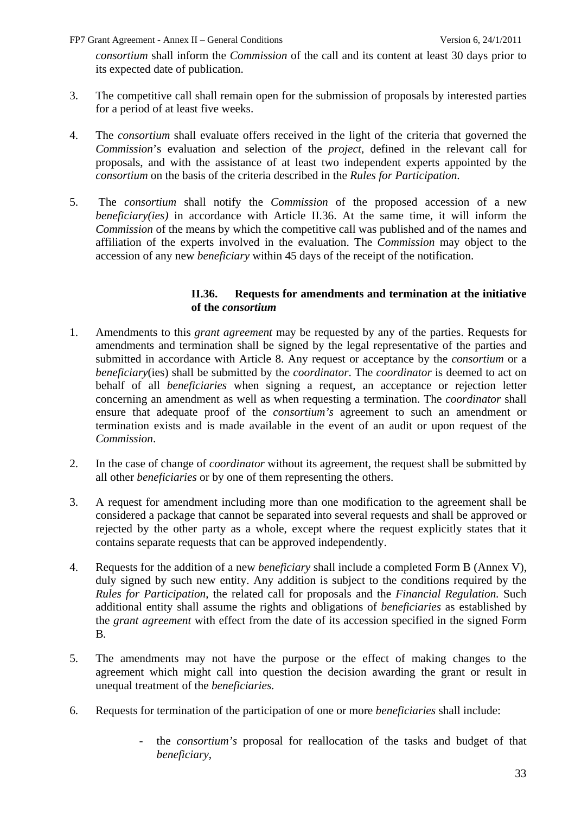*consortium* shall inform the *Commission* of the call and its content at least 30 days prior to its expected date of publication.

- 3. The competitive call shall remain open for the submission of proposals by interested parties for a period of at least five weeks.
- 4. The *consortium* shall evaluate offers received in the light of the criteria that governed the *Commission*'s evaluation and selection of the *project*, defined in the relevant call for proposals, and with the assistance of at least two independent experts appointed by the *consortium* on the basis of the criteria described in the *Rules for Participation*.
- 5. The *consortium* shall notify the *Commission* of the proposed accession of a new *beneficiary(ies)* in accordance with Article II.36. At the same time, it will inform the *Commission* of the means by which the competitive call was published and of the names and affiliation of the experts involved in the evaluation. The *Commission* may object to the accession of any new *beneficiary* within 45 days of the receipt of the notification.

#### **II.36. Requests for amendments and termination at the initiative of the** *consortium*

- <span id="page-32-0"></span>1. Amendments to this *grant agreement* may be requested by any of the parties. Requests for amendments and termination shall be signed by the legal representative of the parties and submitted in accordance with Article 8. Any request or acceptance by the *consortium* or a *beneficiary*(ies) shall be submitted by the *coordinator*. The *coordinator* is deemed to act on behalf of all *beneficiaries* when signing a request, an acceptance or rejection letter concerning an amendment as well as when requesting a termination. The *coordinator* shall ensure that adequate proof of the *consortium's* agreement to such an amendment or termination exists and is made available in the event of an audit or upon request of the *Commission*.
- 2. In the case of change of *coordinator* without its agreement, the request shall be submitted by all other *beneficiaries* or by one of them representing the others.
- 3. A request for amendment including more than one modification to the agreement shall be considered a package that cannot be separated into several requests and shall be approved or rejected by the other party as a whole, except where the request explicitly states that it contains separate requests that can be approved independently.
- 4. Requests for the addition of a new *beneficiary* shall include a completed Form B (Annex V), duly signed by such new entity. Any addition is subject to the conditions required by the *Rules for Participation*, the related call for proposals and the *Financial Regulation.* Such additional entity shall assume the rights and obligations of *beneficiaries* as established by the *grant agreement* with effect from the date of its accession specified in the signed Form B*.*
- 5. The amendments may not have the purpose or the effect of making changes to the agreement which might call into question the decision awarding the grant or result in unequal treatment of the *beneficiaries.*
- 6. Requests for termination of the participation of one or more *beneficiaries* shall include:
	- the *consortium's* proposal for reallocation of the tasks and budget of that *beneficiary*,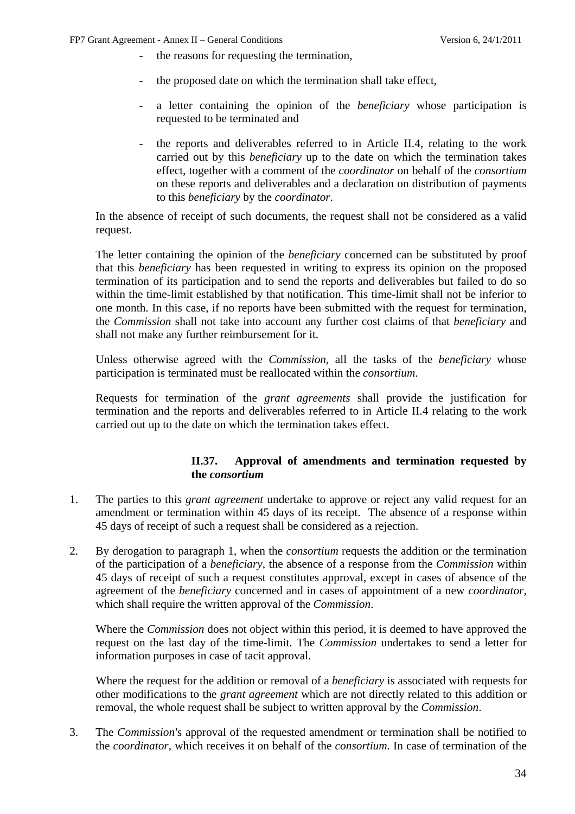- the reasons for requesting the termination,
- the proposed date on which the termination shall take effect.
- a letter containing the opinion of the *beneficiary* whose participation is requested to be terminated and
- the reports and deliverables referred to in Article II.4, relating to the work carried out by this *beneficiary* up to the date on which the termination takes effect, together with a comment of the *coordinator* on behalf of the *consortium* on these reports and deliverables and a declaration on distribution of payments to this *beneficiary* by the *coordinator*.

In the absence of receipt of such documents, the request shall not be considered as a valid request.

The letter containing the opinion of the *beneficiary* concerned can be substituted by proof that this *beneficiary* has been requested in writing to express its opinion on the proposed termination of its participation and to send the reports and deliverables but failed to do so within the time-limit established by that notification. This time-limit shall not be inferior to one month. In this case, if no reports have been submitted with the request for termination, the *Commission* shall not take into account any further cost claims of that *beneficiary* and shall not make any further reimbursement for it.

Unless otherwise agreed with the *Commission*, all the tasks of the *beneficiary* whose participation is terminated must be reallocated within the *consortium*.

Requests for termination of the *grant agreements* shall provide the justification for termination and the reports and deliverables referred to in Article II.4 relating to the work carried out up to the date on which the termination takes effect.

#### **II.37. Approval of amendments and termination requested by the** *consortium*

- <span id="page-33-0"></span>1. The parties to this *grant agreement* undertake to approve or reject any valid request for an amendment or termination within 45 days of its receipt. The absence of a response within 45 days of receipt of such a request shall be considered as a rejection.
- 2. By derogation to paragraph 1, when the *consortium* requests the addition or the termination of the participation of a *beneficiary*, the absence of a response from the *Commission* within 45 days of receipt of such a request constitutes approval, except in cases of absence of the agreement of the *beneficiary* concerned and in cases of appointment of a new *coordinator,* which shall require the written approval of the *Commission*.

Where the *Commission* does not object within this period, it is deemed to have approved the request on the last day of the time-limit. The *Commission* undertakes to send a letter for information purposes in case of tacit approval.

Where the request for the addition or removal of a *beneficiary* is associated with requests for other modifications to the *grant agreement* which are not directly related to this addition or removal, the whole request shall be subject to written approval by the *Commission*.

3. The *Commission'*s approval of the requested amendment or termination shall be notified to the *coordinator*, which receives it on behalf of the *consortium.* In case of termination of the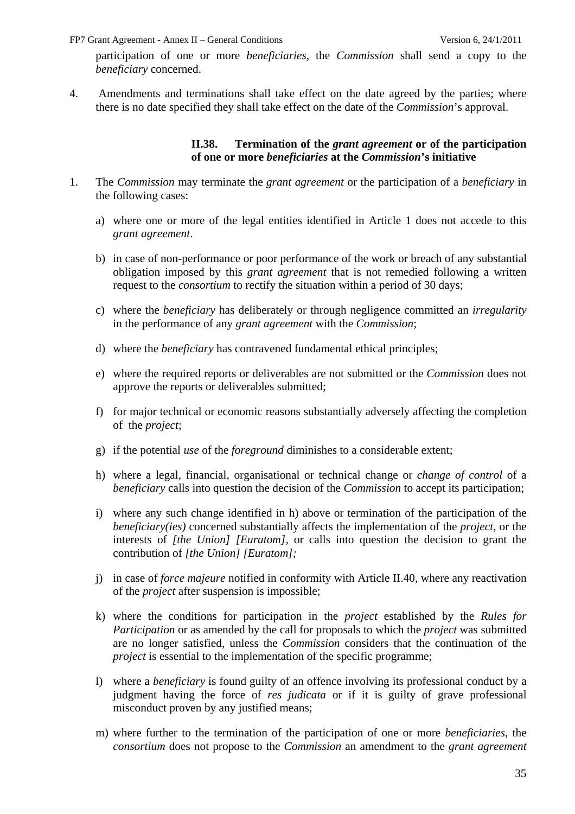participation of one or more *beneficiaries,* the *Commission* shall send a copy to the *beneficiary* concerned.

<span id="page-34-0"></span>4. Amendments and terminations shall take effect on the date agreed by the parties; where there is no date specified they shall take effect on the date of the *Commission*'s approval.

#### **II.38. Termination of the** *grant agreement* **or of the participation of one or more** *beneficiaries* **at the** *Commission***'s initiative**

- 1. The *Commission* may terminate the *grant agreement* or the participation of a *beneficiary* in the following cases:
	- a) where one or more of the legal entities identified in Article 1 does not accede to this *grant agreement*.
	- b) in case of non-performance or poor performance of the work or breach of any substantial obligation imposed by this *grant agreement* that is not remedied following a written request to the *consortium* to rectify the situation within a period of 30 days;
	- c) where the *beneficiary* has deliberately or through negligence committed an *irregularity* in the performance of any *grant agreement* with the *Commission*;
	- d) where the *beneficiary* has contravened fundamental ethical principles;
	- e) where the required reports or deliverables are not submitted or the *Commission* does not approve the reports or deliverables submitted;
	- f) for major technical or economic reasons substantially adversely affecting the completion of the *project*;
	- g) if the potential *use* of the *foreground* diminishes to a considerable extent;
	- h) where a legal, financial, organisational or technical change or *change of control* of a *beneficiary* calls into question the decision of the *Commission* to accept its participation;
	- i) where any such change identified in h) above or termination of the participation of the *beneficiary(ies)* concerned substantially affects the implementation of the *project*, or the interests of *[the Union] [Euratom],* or calls into question the decision to grant the contribution of *[the Union] [Euratom];*
	- j) in case of *force majeure* notified in conformity with Article II.40, where any reactivation of the *project* after suspension is impossible;
	- k) where the conditions for participation in the *project* established by the *Rules for Participation* or as amended by the call for proposals to which the *project* was submitted are no longer satisfied, unless the *Commission* considers that the continuation of the *project* is essential to the implementation of the specific programme;
	- l) where a *beneficiary* is found guilty of an offence involving its professional conduct by a judgment having the force of *res judicata* or if it is guilty of grave professional misconduct proven by any justified means;
	- m) where further to the termination of the participation of one or more *beneficiaries*, the *consortium* does not propose to the *Commission* an amendment to the *grant agreement*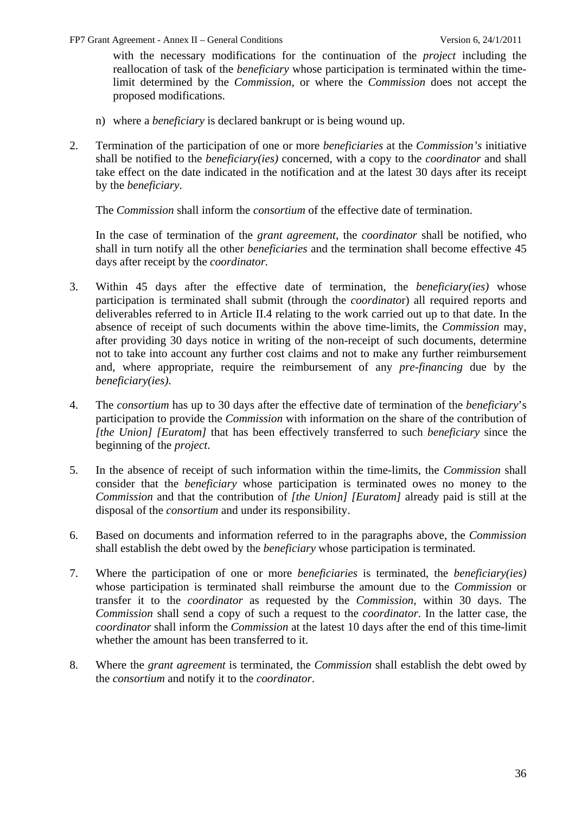with the necessary modifications for the continuation of the *project* including the reallocation of task of the *beneficiary* whose participation is terminated within the timelimit determined by the *Commission*, or where the *Commission* does not accept the proposed modifications.

- n) where a *beneficiary* is declared bankrupt or is being wound up.
- 2. Termination of the participation of one or more *beneficiaries* at the *Commission's* initiative shall be notified to the *beneficiary(ies)* concerned, with a copy to the *coordinator* and shall take effect on the date indicated in the notification and at the latest 30 days after its receipt by the *beneficiary*.

The *Commission* shall inform the *consortium* of the effective date of termination.

In the case of termination of the *grant agreement*, the *coordinator* shall be notified, who shall in turn notify all the other *beneficiaries* and the termination shall become effective 45 days after receipt by the *coordinator.* 

- 3. Within 45 days after the effective date of termination, the *beneficiary(ies)* whose participation is terminated shall submit (through the *coordinato*r) all required reports and deliverables referred to in Article II.4 relating to the work carried out up to that date. In the absence of receipt of such documents within the above time-limits, the *Commission* may, after providing 30 days notice in writing of the non-receipt of such documents, determine not to take into account any further cost claims and not to make any further reimbursement and, where appropriate, require the reimbursement of any *pre-financing* due by the *beneficiary(ies)*.
- 4. The *consortium* has up to 30 days after the effective date of termination of the *beneficiary*'s participation to provide the *Commission* with information on the share of the contribution of *[the Union] [Euratom]* that has been effectively transferred to such *beneficiary* since the beginning of the *project*.
- 5. In the absence of receipt of such information within the time-limits, the *Commission* shall consider that the *beneficiary* whose participation is terminated owes no money to the *Commission* and that the contribution of *[the Union] [Euratom]* already paid is still at the disposal of the *consortium* and under its responsibility.
- 6. Based on documents and information referred to in the paragraphs above, the *Commission* shall establish the debt owed by the *beneficiary* whose participation is terminated.
- 7. Where the participation of one or more *beneficiaries* is terminated, the *beneficiary(ies)* whose participation is terminated shall reimburse the amount due to the *Commission* or transfer it to the *coordinator* as requested by the *Commission*, within 30 days. The *Commission* shall send a copy of such a request to the *coordinator*. In the latter case, the *coordinator* shall inform the *Commission* at the latest 10 days after the end of this time-limit whether the amount has been transferred to it.
- 8. Where the *grant agreement* is terminated, the *Commission* shall establish the debt owed by the *consortium* and notify it to the *coordinator*.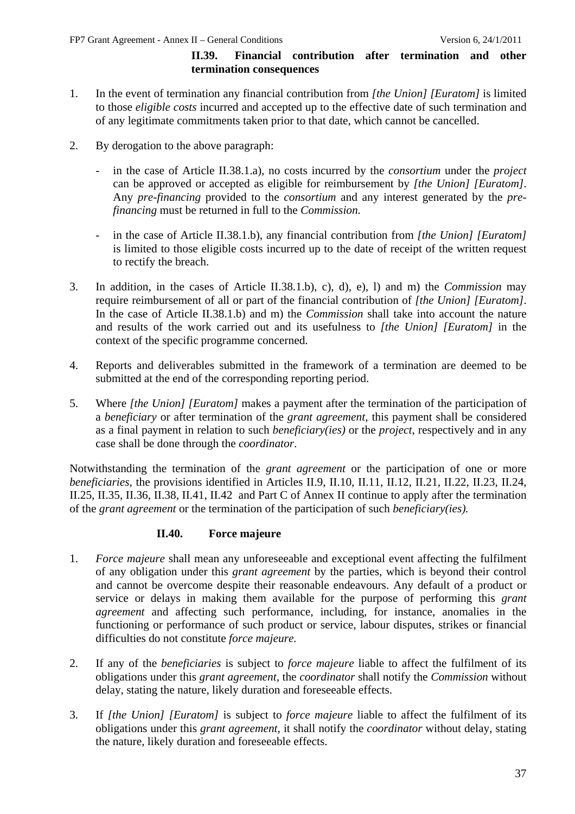#### **II.39. Financial contribution after termination and other termination consequences**

- <span id="page-36-0"></span>1. In the event of termination any financial contribution from *[the Union] [Euratom]* is limited to those *eligible costs* incurred and accepted up to the effective date of such termination and of any legitimate commitments taken prior to that date, which cannot be cancelled.
- 2. By derogation to the above paragraph:
	- in the case of Article II.38.1.a), no costs incurred by the *consortium* under the *project* can be approved or accepted as eligible for reimbursement by *[the Union] [Euratom]*. Any *pre-financing* provided to the *consortium* and any interest generated by the *prefinancing* must be returned in full to the *Commission.*
	- in the case of Article II.38.1.b), any financial contribution from *[the Union] [Euratom]* is limited to those eligible costs incurred up to the date of receipt of the written request to rectify the breach.
- 3. In addition, in the cases of Article II.38.1.b), c), d), e), l) and m) the *Commission* may require reimbursement of all or part of the financial contribution of *[the Union] [Euratom]*. In the case of Article II.38.1.b) and m) the *Commission* shall take into account the nature and results of the work carried out and its usefulness to *[the Union] [Euratom]* in the context of the specific programme concerned.
- 4. Reports and deliverables submitted in the framework of a termination are deemed to be submitted at the end of the corresponding reporting period.
- 5. Where *[the Union] [Euratom]* makes a payment after the termination of the participation of a *beneficiary* or after termination of the *grant agreement*, this payment shall be considered as a final payment in relation to such *beneficiary(ies)* or the *project*, respectively and in any case shall be done through the *coordinator*.

Notwithstanding the termination of the *grant agreement* or the participation of one or more *beneficiaries*, the provisions identified in Articles II.9, II.10, II.11, II.12, II.21, II.22, II.23, II.24, II.25, II.35, II.36, II.38, II.41, II.42 and Part C of Annex II continue to apply after the termination of the *grant agreement* or the termination of the participation of such *beneficiary(ies).*

### **II.40. Force majeure**

- <span id="page-36-1"></span>1. *Force majeure* shall mean any unforeseeable and exceptional event affecting the fulfilment of any obligation under this *grant agreement* by the parties, which is beyond their control and cannot be overcome despite their reasonable endeavours. Any default of a product or service or delays in making them available for the purpose of performing this *grant agreement* and affecting such performance, including, for instance, anomalies in the functioning or performance of such product or service, labour disputes, strikes or financial difficulties do not constitute *force majeure.*
- 2. If any of the *beneficiaries* is subject to *force majeure* liable to affect the fulfilment of its obligations under this *grant agreement*, the *coordinator* shall notify the *Commission* without delay, stating the nature, likely duration and foreseeable effects.
- 3. If *[the Union] [Euratom]* is subject to *force majeure* liable to affect the fulfilment of its obligations under this *grant agreement*, it shall notify the *coordinator* without delay, stating the nature, likely duration and foreseeable effects.